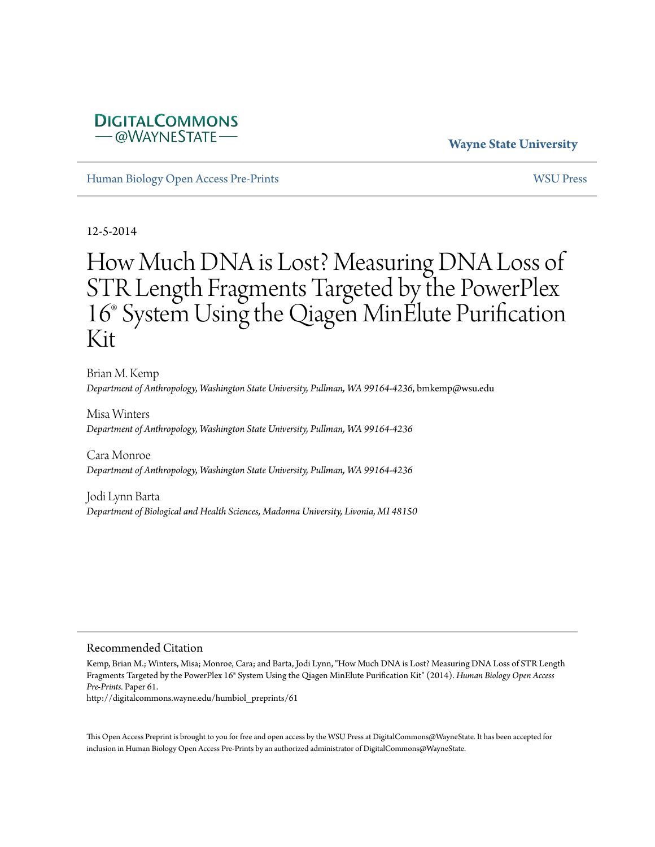# **DIGITALCOMMONS** *–* @WAYNESTATE –

## **Wayne State University**

[Human Biology Open Access Pre-Prints](http://digitalcommons.wayne.edu/humbiol_preprints) [WSU Press](http://digitalcommons.wayne.edu/wsupress)

12-5-2014

# How Much DNA is Lost? Measuring DNA Loss of STR Length Fragments Targeted by the PowerPlex 16® System Using the Qiagen MinElute Purification Kit

Brian M. Kemp *Department of Anthropology, Washington State University, Pullman, WA 99164-4236*, bmkemp@wsu.edu

Misa Winters *Department of Anthropology, Washington State University, Pullman, WA 99164-4236*

Cara Monroe *Department of Anthropology, Washington State University, Pullman, WA 99164-4236*

Jodi Lynn Barta *Department of Biological and Health Sciences, Madonna University, Livonia, MI 48150*

#### Recommended Citation

Kemp, Brian M.; Winters, Misa; Monroe, Cara; and Barta, Jodi Lynn, "How Much DNA is Lost? Measuring DNA Loss of STR Length Fragments Targeted by the PowerPlex 16® System Using the Qiagen MinElute Purification Kit" (2014). *Human Biology Open Access Pre-Prints.* Paper 61.

http://digitalcommons.wayne.edu/humbiol\_preprints/61

This Open Access Preprint is brought to you for free and open access by the WSU Press at DigitalCommons@WayneState. It has been accepted for inclusion in Human Biology Open Access Pre-Prints by an authorized administrator of DigitalCommons@WayneState.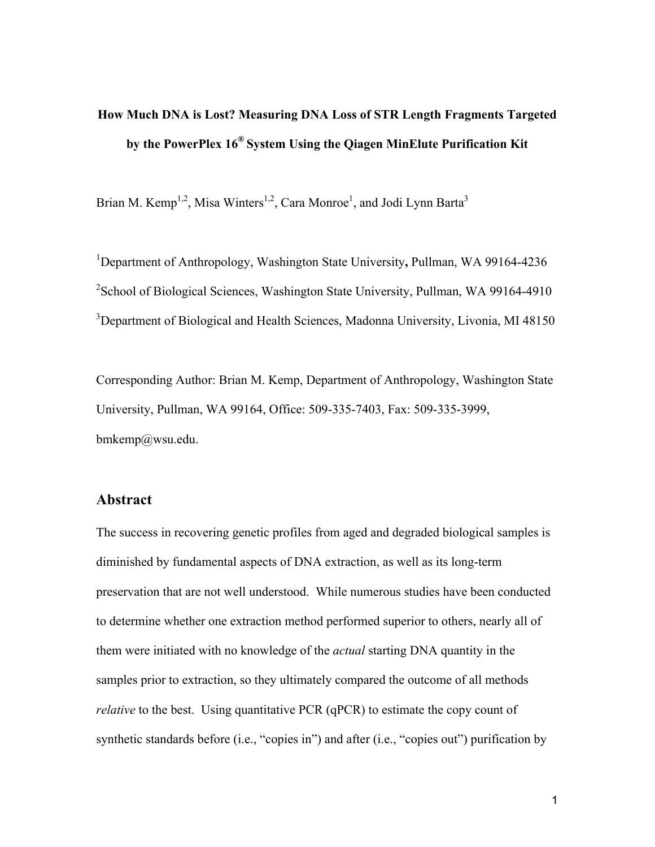# **How Much DNA is Lost? Measuring DNA Loss of STR Length Fragments Targeted by the PowerPlex 16® System Using the Qiagen MinElute Purification Kit**

Brian M. Kemp<sup>1,2</sup>, Misa Winters<sup>1,2</sup>, Cara Monroe<sup>1</sup>, and Jodi Lynn Barta<sup>3</sup>

1 Department of Anthropology, Washington State University**,** Pullman, WA 99164-4236 <sup>2</sup>School of Biological Sciences, Washington State University, Pullman, WA 99164-4910 <sup>3</sup>Department of Biological and Health Sciences, Madonna University, Livonia, MI 48150

Corresponding Author: Brian M. Kemp, Department of Anthropology, Washington State University, Pullman, WA 99164, Office: 509-335-7403, Fax: 509-335-3999, bmkemp@wsu.edu.

## **Abstract**

The success in recovering genetic profiles from aged and degraded biological samples is diminished by fundamental aspects of DNA extraction, as well as its long-term preservation that are not well understood. While numerous studies have been conducted to determine whether one extraction method performed superior to others, nearly all of them were initiated with no knowledge of the *actual* starting DNA quantity in the samples prior to extraction, so they ultimately compared the outcome of all methods *relative* to the best. Using quantitative PCR (qPCR) to estimate the copy count of synthetic standards before (i.e., "copies in") and after (i.e., "copies out") purification by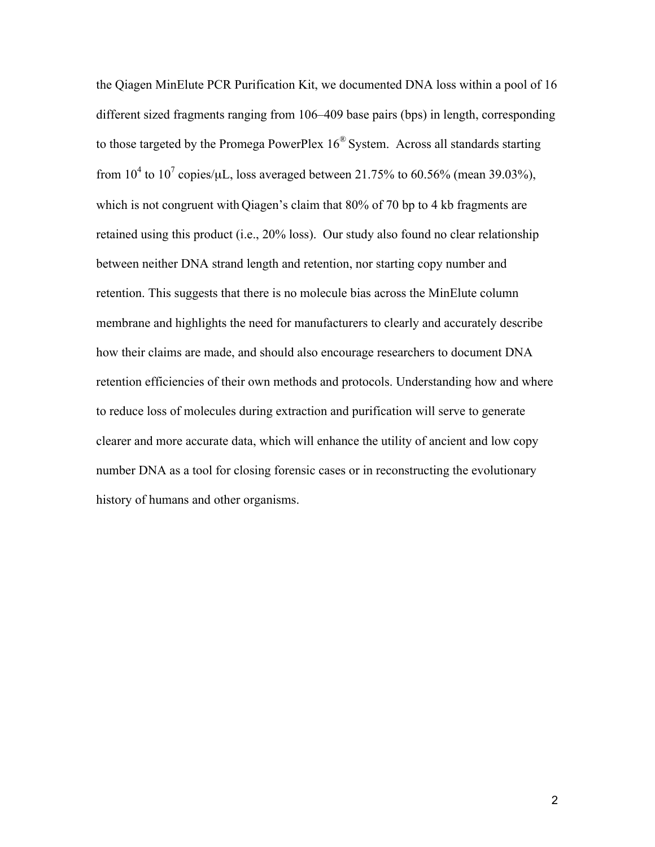the Qiagen MinElute PCR Purification Kit, we documented DNA loss within a pool of 16 different sized fragments ranging from 106–409 base pairs (bps) in length, corresponding to those targeted by the Promega PowerPlex  $16^{\circ}$  System. Across all standards starting from  $10^4$  to  $10^7$  copies/ $\mu$ L, loss averaged between 21.75% to 60.56% (mean 39.03%), which is not congruent with Qiagen's claim that 80% of 70 bp to 4 kb fragments are retained using this product (i.e., 20% loss). Our study also found no clear relationship between neither DNA strand length and retention, nor starting copy number and retention. This suggests that there is no molecule bias across the MinElute column membrane and highlights the need for manufacturers to clearly and accurately describe how their claims are made, and should also encourage researchers to document DNA retention efficiencies of their own methods and protocols. Understanding how and where to reduce loss of molecules during extraction and purification will serve to generate clearer and more accurate data, which will enhance the utility of ancient and low copy number DNA as a tool for closing forensic cases or in reconstructing the evolutionary history of humans and other organisms.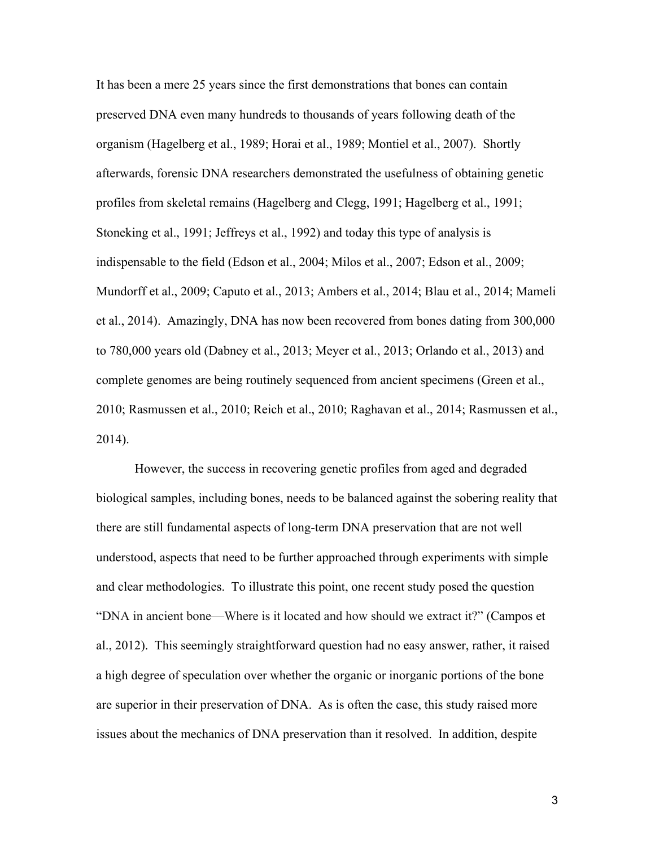It has been a mere 25 years since the first demonstrations that bones can contain preserved DNA even many hundreds to thousands of years following death of the organism (Hagelberg et al., 1989; Horai et al., 1989; Montiel et al., 2007). Shortly afterwards, forensic DNA researchers demonstrated the usefulness of obtaining genetic profiles from skeletal remains (Hagelberg and Clegg, 1991; Hagelberg et al., 1991; Stoneking et al., 1991; Jeffreys et al., 1992) and today this type of analysis is indispensable to the field (Edson et al., 2004; Milos et al., 2007; Edson et al., 2009; Mundorff et al., 2009; Caputo et al., 2013; Ambers et al., 2014; Blau et al., 2014; Mameli et al., 2014). Amazingly, DNA has now been recovered from bones dating from 300,000 to 780,000 years old (Dabney et al., 2013; Meyer et al., 2013; Orlando et al., 2013) and complete genomes are being routinely sequenced from ancient specimens (Green et al., 2010; Rasmussen et al., 2010; Reich et al., 2010; Raghavan et al., 2014; Rasmussen et al., 2014).

However, the success in recovering genetic profiles from aged and degraded biological samples, including bones, needs to be balanced against the sobering reality that there are still fundamental aspects of long-term DNA preservation that are not well understood, aspects that need to be further approached through experiments with simple and clear methodologies. To illustrate this point, one recent study posed the question "DNA in ancient bone—Where is it located and how should we extract it?" (Campos et al., 2012). This seemingly straightforward question had no easy answer, rather, it raised a high degree of speculation over whether the organic or inorganic portions of the bone are superior in their preservation of DNA. As is often the case, this study raised more issues about the mechanics of DNA preservation than it resolved. In addition, despite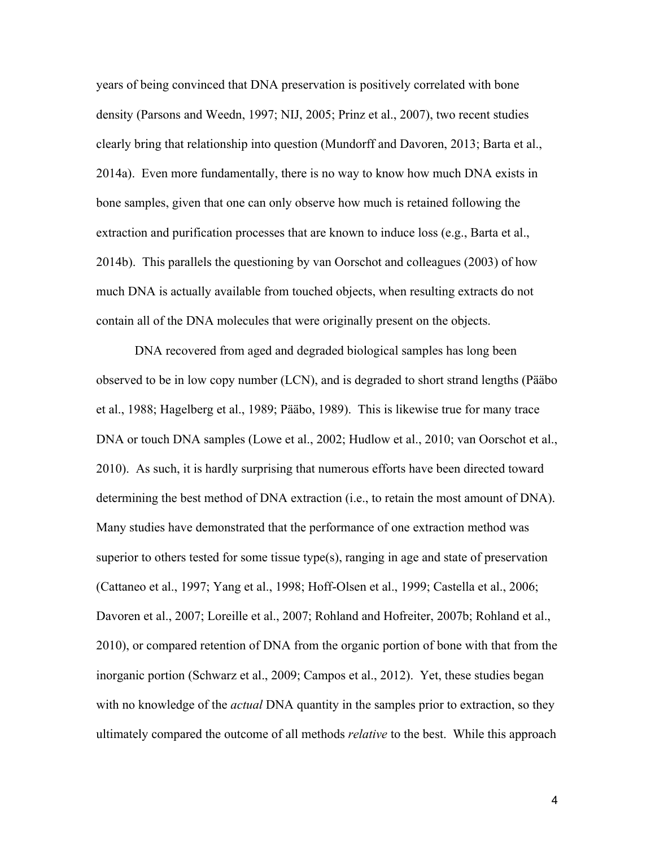years of being convinced that DNA preservation is positively correlated with bone density (Parsons and Weedn, 1997; NIJ, 2005; Prinz et al., 2007), two recent studies clearly bring that relationship into question (Mundorff and Davoren, 2013; Barta et al., 2014a). Even more fundamentally, there is no way to know how much DNA exists in bone samples, given that one can only observe how much is retained following the extraction and purification processes that are known to induce loss (e.g., Barta et al., 2014b). This parallels the questioning by van Oorschot and colleagues (2003) of how much DNA is actually available from touched objects, when resulting extracts do not contain all of the DNA molecules that were originally present on the objects.

DNA recovered from aged and degraded biological samples has long been observed to be in low copy number (LCN), and is degraded to short strand lengths (Pääbo et al., 1988; Hagelberg et al., 1989; Pääbo, 1989). This is likewise true for many trace DNA or touch DNA samples (Lowe et al., 2002; Hudlow et al., 2010; van Oorschot et al., 2010). As such, it is hardly surprising that numerous efforts have been directed toward determining the best method of DNA extraction (i.e., to retain the most amount of DNA). Many studies have demonstrated that the performance of one extraction method was superior to others tested for some tissue type(s), ranging in age and state of preservation (Cattaneo et al., 1997; Yang et al., 1998; Hoff-Olsen et al., 1999; Castella et al., 2006; Davoren et al., 2007; Loreille et al., 2007; Rohland and Hofreiter, 2007b; Rohland et al., 2010), or compared retention of DNA from the organic portion of bone with that from the inorganic portion (Schwarz et al., 2009; Campos et al., 2012). Yet, these studies began with no knowledge of the *actual* DNA quantity in the samples prior to extraction, so they ultimately compared the outcome of all methods *relative* to the best. While this approach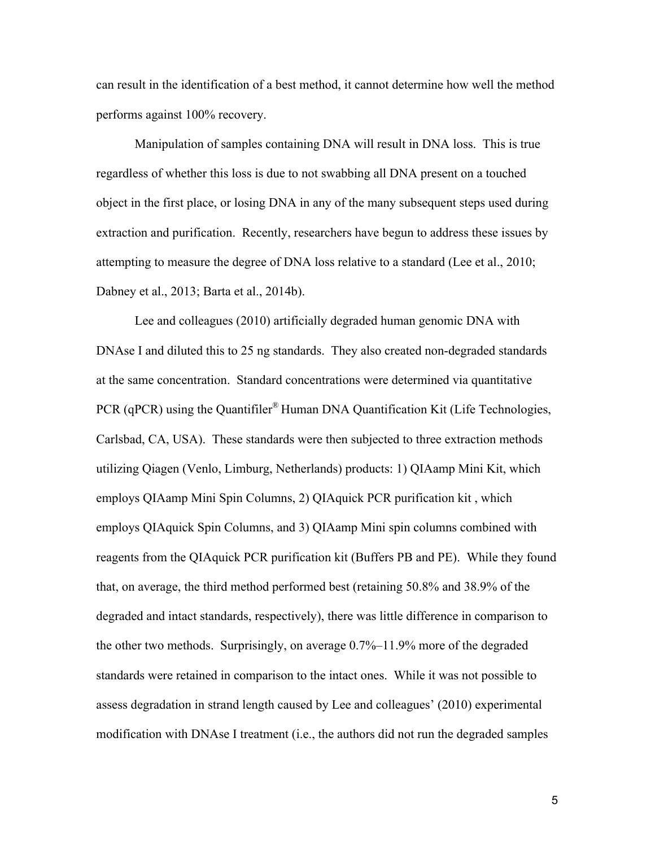can result in the identification of a best method, it cannot determine how well the method performs against 100% recovery.

Manipulation of samples containing DNA will result in DNA loss. This is true regardless of whether this loss is due to not swabbing all DNA present on a touched object in the first place, or losing DNA in any of the many subsequent steps used during extraction and purification. Recently, researchers have begun to address these issues by attempting to measure the degree of DNA loss relative to a standard (Lee et al., 2010; Dabney et al., 2013; Barta et al., 2014b).

Lee and colleagues (2010) artificially degraded human genomic DNA with DNAse I and diluted this to 25 ng standards. They also created non-degraded standards at the same concentration. Standard concentrations were determined via quantitative PCR (qPCR) using the Quantifiler® Human DNA Quantification Kit (Life Technologies, Carlsbad, CA, USA). These standards were then subjected to three extraction methods utilizing Qiagen (Venlo, Limburg, Netherlands) products: 1) QIAamp Mini Kit, which employs QIAamp Mini Spin Columns, 2) QIAquick PCR purification kit , which employs QIAquick Spin Columns, and 3) QIAamp Mini spin columns combined with reagents from the QIAquick PCR purification kit (Buffers PB and PE). While they found that, on average, the third method performed best (retaining 50.8% and 38.9% of the degraded and intact standards, respectively), there was little difference in comparison to the other two methods. Surprisingly, on average 0.7%–11.9% more of the degraded standards were retained in comparison to the intact ones. While it was not possible to assess degradation in strand length caused by Lee and colleagues' (2010) experimental modification with DNAse I treatment (i.e., the authors did not run the degraded samples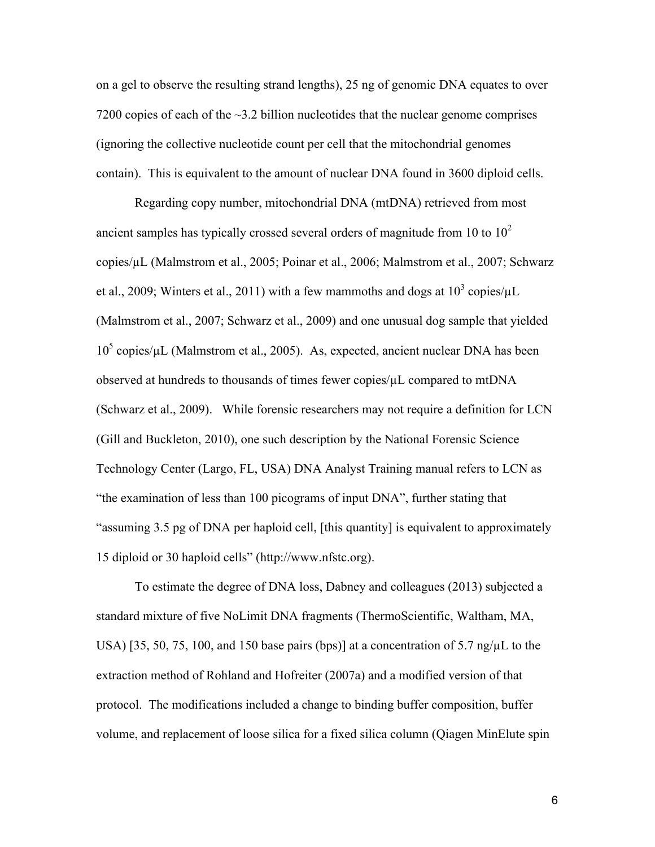on a gel to observe the resulting strand lengths), 25 ng of genomic DNA equates to over 7200 copies of each of the  $\sim$ 3.2 billion nucleotides that the nuclear genome comprises (ignoring the collective nucleotide count per cell that the mitochondrial genomes contain). This is equivalent to the amount of nuclear DNA found in 3600 diploid cells.

Regarding copy number, mitochondrial DNA (mtDNA) retrieved from most ancient samples has typically crossed several orders of magnitude from 10 to  $10<sup>2</sup>$ copies/µL (Malmstrom et al., 2005; Poinar et al., 2006; Malmstrom et al., 2007; Schwarz et al., 2009; Winters et al., 2011) with a few mammoths and dogs at  $10^3$  copies/ $\mu$ L (Malmstrom et al., 2007; Schwarz et al., 2009) and one unusual dog sample that yielded  $10^5$  copies/ $\mu$ L (Malmstrom et al., 2005). As, expected, ancient nuclear DNA has been observed at hundreds to thousands of times fewer copies/µL compared to mtDNA (Schwarz et al., 2009). While forensic researchers may not require a definition for LCN (Gill and Buckleton, 2010), one such description by the National Forensic Science Technology Center (Largo, FL, USA) DNA Analyst Training manual refers to LCN as "the examination of less than 100 picograms of input DNA", further stating that "assuming 3.5 pg of DNA per haploid cell, [this quantity] is equivalent to approximately 15 diploid or 30 haploid cells" (http://www.nfstc.org).

To estimate the degree of DNA loss, Dabney and colleagues (2013) subjected a standard mixture of five NoLimit DNA fragments (ThermoScientific, Waltham, MA, USA) [35, 50, 75, 100, and 150 base pairs (bps)] at a concentration of 5.7 ng/ $\mu$ L to the extraction method of Rohland and Hofreiter (2007a) and a modified version of that protocol. The modifications included a change to binding buffer composition, buffer volume, and replacement of loose silica for a fixed silica column (Qiagen MinElute spin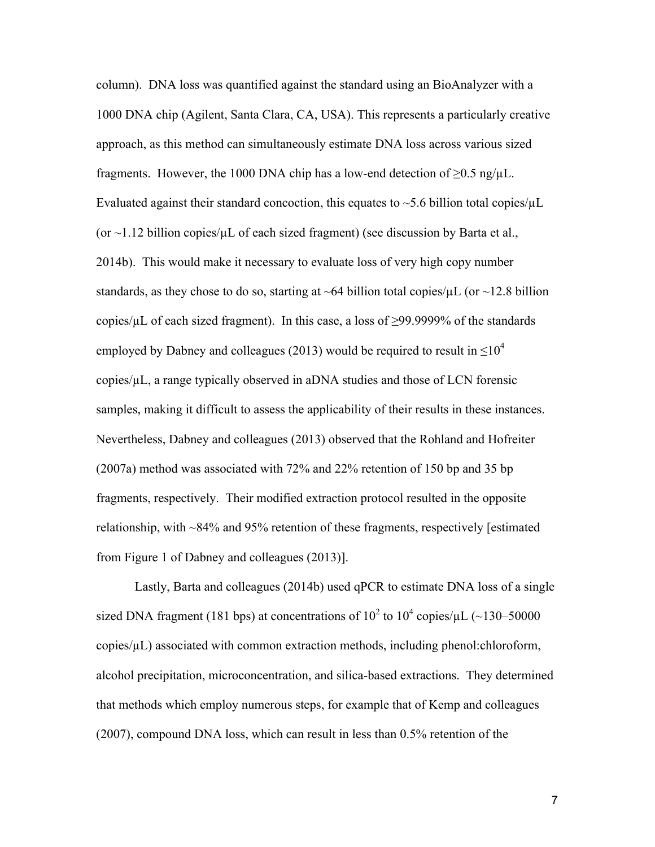column). DNA loss was quantified against the standard using an BioAnalyzer with a 1000 DNA chip (Agilent, Santa Clara, CA, USA). This represents a particularly creative approach, as this method can simultaneously estimate DNA loss across various sized fragments. However, the 1000 DNA chip has a low-end detection of  $\geq 0.5$  ng/ $\mu$ L. Evaluated against their standard concoction, this equates to  $\sim$  5.6 billion total copies/ $\mu$ L (or  $\sim$ 1.12 billion copies/ $\mu$ L of each sized fragment) (see discussion by Barta et al., 2014b). This would make it necessary to evaluate loss of very high copy number standards, as they chose to do so, starting at  $\sim 64$  billion total copies/ $\mu$ L (or  $\sim 12.8$  billion copies/ $\mu$ L of each sized fragment). In this case, a loss of  $\geq$ 99.9999% of the standards employed by Dabney and colleagues (2013) would be required to result in  $\leq 10^4$ copies/µL, a range typically observed in aDNA studies and those of LCN forensic samples, making it difficult to assess the applicability of their results in these instances. Nevertheless, Dabney and colleagues (2013) observed that the Rohland and Hofreiter (2007a) method was associated with 72% and 22% retention of 150 bp and 35 bp fragments, respectively. Their modified extraction protocol resulted in the opposite relationship, with ~84% and 95% retention of these fragments, respectively [estimated from Figure 1 of Dabney and colleagues (2013)].

Lastly, Barta and colleagues (2014b) used qPCR to estimate DNA loss of a single sized DNA fragment (181 bps) at concentrations of  $10^2$  to  $10^4$  copies/ $\mu$ L (~130–50000 copies/µL) associated with common extraction methods, including phenol:chloroform, alcohol precipitation, microconcentration, and silica-based extractions. They determined that methods which employ numerous steps, for example that of Kemp and colleagues (2007), compound DNA loss, which can result in less than 0.5% retention of the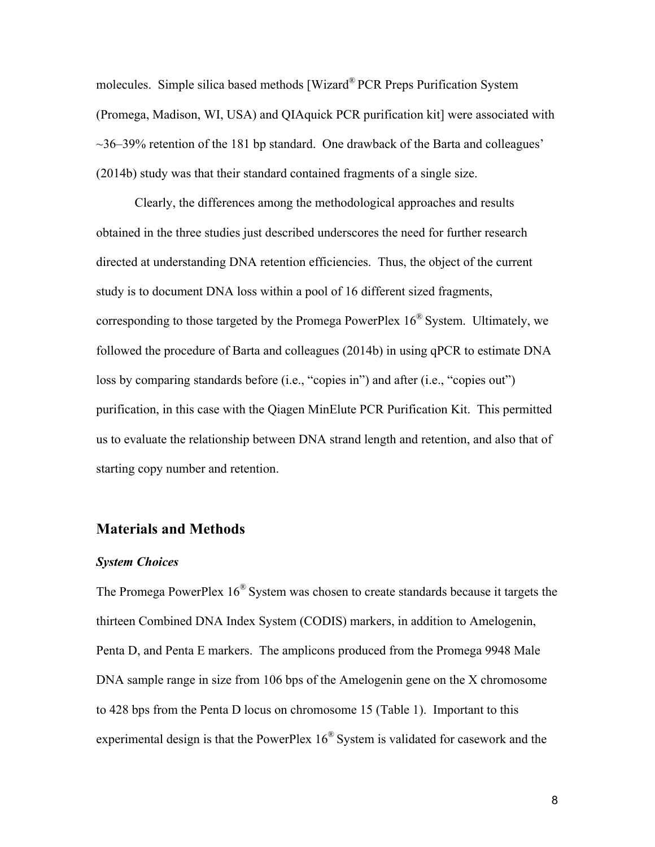molecules. Simple silica based methods [Wizard® PCR Preps Purification System (Promega, Madison, WI, USA) and QIAquick PCR purification kit] were associated with ~36–39% retention of the 181 bp standard. One drawback of the Barta and colleagues' (2014b) study was that their standard contained fragments of a single size.

Clearly, the differences among the methodological approaches and results obtained in the three studies just described underscores the need for further research directed at understanding DNA retention efficiencies. Thus, the object of the current study is to document DNA loss within a pool of 16 different sized fragments, corresponding to those targeted by the Promega PowerPlex  $16^{\circ}$  System. Ultimately, we followed the procedure of Barta and colleagues (2014b) in using qPCR to estimate DNA loss by comparing standards before (i.e., "copies in") and after (i.e., "copies out") purification, in this case with the Qiagen MinElute PCR Purification Kit. This permitted us to evaluate the relationship between DNA strand length and retention, and also that of starting copy number and retention.

## **Materials and Methods**

#### *System Choices*

The Promega PowerPlex 16® System was chosen to create standards because it targets the thirteen Combined DNA Index System (CODIS) markers, in addition to Amelogenin, Penta D, and Penta E markers. The amplicons produced from the Promega 9948 Male DNA sample range in size from 106 bps of the Amelogenin gene on the X chromosome to 428 bps from the Penta D locus on chromosome 15 (Table 1). Important to this experimental design is that the PowerPlex 16® System is validated for casework and the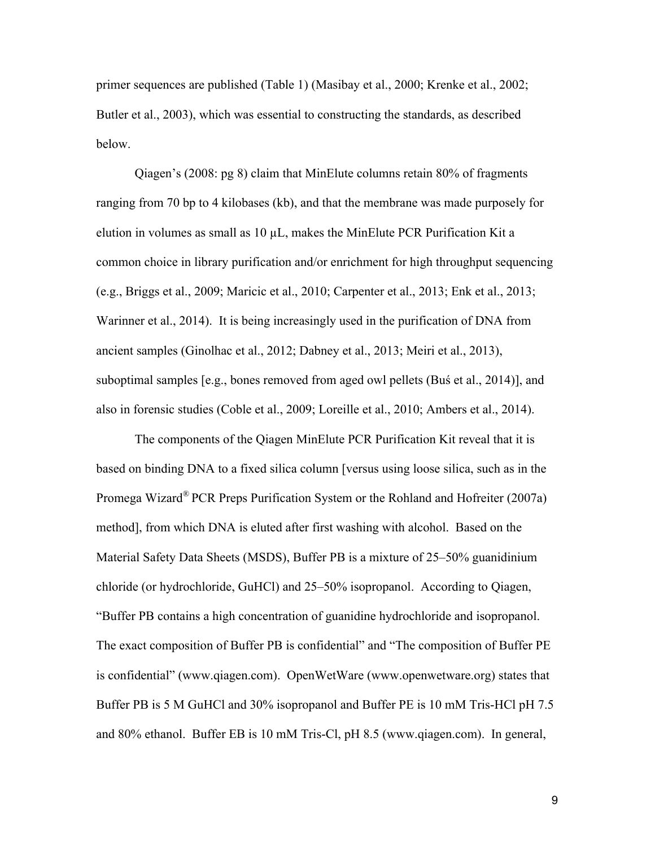primer sequences are published (Table 1) (Masibay et al., 2000; Krenke et al., 2002; Butler et al., 2003), which was essential to constructing the standards, as described below.

Qiagen's (2008: pg 8) claim that MinElute columns retain 80% of fragments ranging from 70 bp to 4 kilobases (kb), and that the membrane was made purposely for elution in volumes as small as  $10 \mu L$ , makes the MinElute PCR Purification Kit a common choice in library purification and/or enrichment for high throughput sequencing (e.g., Briggs et al., 2009; Maricic et al., 2010; Carpenter et al., 2013; Enk et al., 2013; Warinner et al., 2014). It is being increasingly used in the purification of DNA from ancient samples (Ginolhac et al., 2012; Dabney et al., 2013; Meiri et al., 2013), suboptimal samples [e.g., bones removed from aged owl pellets (Buś et al., 2014)], and also in forensic studies (Coble et al., 2009; Loreille et al., 2010; Ambers et al., 2014).

The components of the Qiagen MinElute PCR Purification Kit reveal that it is based on binding DNA to a fixed silica column [versus using loose silica, such as in the Promega Wizard® PCR Preps Purification System or the Rohland and Hofreiter (2007a) method], from which DNA is eluted after first washing with alcohol. Based on the Material Safety Data Sheets (MSDS), Buffer PB is a mixture of 25–50% guanidinium chloride (or hydrochloride, GuHCl) and 25–50% isopropanol. According to Qiagen, "Buffer PB contains a high concentration of guanidine hydrochloride and isopropanol. The exact composition of Buffer PB is confidential" and "The composition of Buffer PE is confidential" (www.qiagen.com). OpenWetWare (www.openwetware.org) states that Buffer PB is 5 M GuHCl and 30% isopropanol and Buffer PE is 10 mM Tris-HCl pH 7.5 and 80% ethanol. Buffer EB is 10 mM Tris-Cl, pH 8.5 (www.qiagen.com). In general,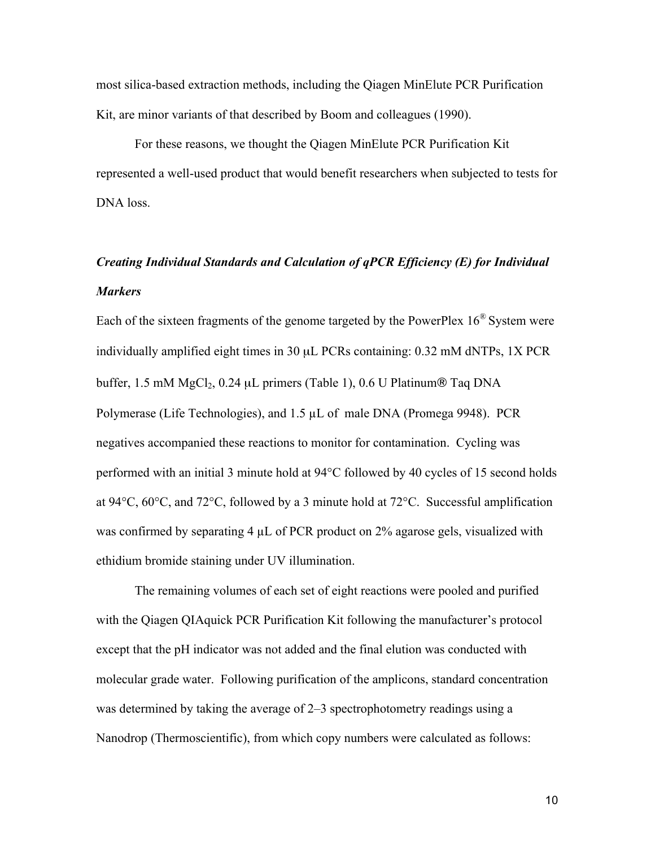most silica-based extraction methods, including the Qiagen MinElute PCR Purification Kit, are minor variants of that described by Boom and colleagues (1990).

For these reasons, we thought the Qiagen MinElute PCR Purification Kit represented a well-used product that would benefit researchers when subjected to tests for DNA loss.

# *Creating Individual Standards and Calculation of qPCR Efficiency (E) for Individual Markers*

Each of the sixteen fragments of the genome targeted by the PowerPlex  $16^{\circ}$  System were individually amplified eight times in 30 µL PCRs containing: 0.32 mM dNTPs, 1X PCR buffer, 1.5 mM  $MgCl<sub>2</sub>$ , 0.24 µL primers (Table 1), 0.6 U Platinum® Taq DNA Polymerase (Life Technologies), and 1.5 µL of male DNA (Promega 9948). PCR negatives accompanied these reactions to monitor for contamination. Cycling was performed with an initial 3 minute hold at 94°C followed by 40 cycles of 15 second holds at 94°C, 60°C, and 72°C, followed by a 3 minute hold at 72°C. Successful amplification was confirmed by separating 4  $\mu$ L of PCR product on 2% agarose gels, visualized with ethidium bromide staining under UV illumination.

The remaining volumes of each set of eight reactions were pooled and purified with the Qiagen QIAquick PCR Purification Kit following the manufacturer's protocol except that the pH indicator was not added and the final elution was conducted with molecular grade water. Following purification of the amplicons, standard concentration was determined by taking the average of 2–3 spectrophotometry readings using a Nanodrop (Thermoscientific), from which copy numbers were calculated as follows: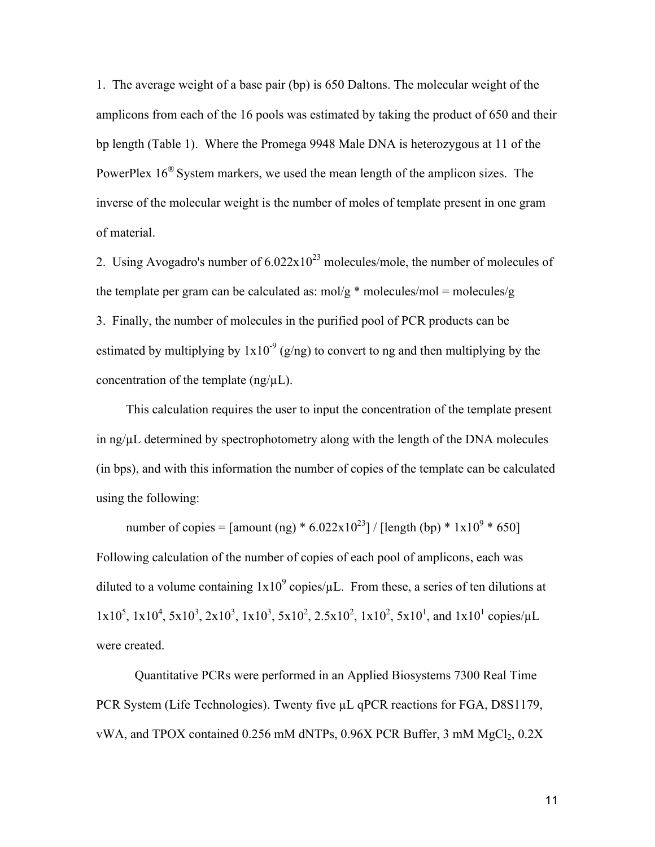1. The average weight of a base pair (bp) is 650 Daltons. The molecular weight of the amplicons from each of the 16 pools was estimated by taking the product of 650 and their bp length (Table 1). Where the Promega 9948 Male DNA is heterozygous at 11 of the PowerPlex  $16^{\circ}$  System markers, we used the mean length of the amplicon sizes. The inverse of the molecular weight is the number of moles of template present in one gram of material.

2. Using Avogadro's number of  $6.022 \times 10^{23}$  molecules/mole, the number of molecules of the template per gram can be calculated as:  $m\frac{d}{g}$  \* molecules/mol = molecules/g 3. Finally, the number of molecules in the purified pool of PCR products can be estimated by multiplying by  $1x10^{-9}$  (g/ng) to convert to ng and then multiplying by the concentration of the template  $(ng/\mu L)$ .

This calculation requires the user to input the concentration of the template present in ng/µL determined by spectrophotometry along with the length of the DNA molecules (in bps), and with this information the number of copies of the template can be calculated using the following:

number of copies = [amount (ng) \*  $6.022 \times 10^{23}$ ] / [length (bp) \*  $1 \times 10^{9}$  \* 650] Following calculation of the number of copies of each pool of amplicons, each was diluted to a volume containing  $1x10^9$  copies/ $\mu$ L. From these, a series of ten dilutions at  $1x10^5$ ,  $1x10^4$ ,  $5x10^3$ ,  $2x10^3$ ,  $1x10^3$ ,  $5x10^2$ ,  $2.5x10^2$ ,  $1x10^2$ ,  $5x10^1$ , and  $1x10^1$  copies/ $\mu$ L were created.

Quantitative PCRs were performed in an Applied Biosystems 7300 Real Time PCR System (Life Technologies). Twenty five  $\mu$ L qPCR reactions for FGA, D8S1179, vWA, and TPOX contained 0.256 mM dNTPs, 0.96X PCR Buffer, 3 mM MgCl<sub>2</sub>, 0.2X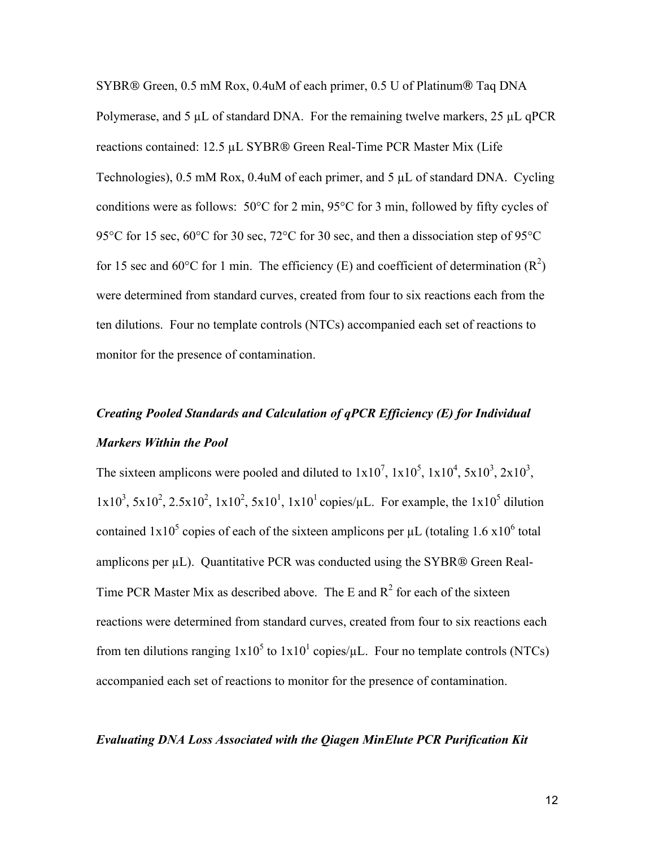SYBR® Green, 0.5 mM Rox, 0.4uM of each primer, 0.5 U of Platinum® Taq DNA Polymerase, and 5 µL of standard DNA. For the remaining twelve markers, 25 µL qPCR reactions contained: 12.5 µL SYBR® Green Real-Time PCR Master Mix (Life Technologies), 0.5 mM Rox, 0.4uM of each primer, and 5 µL of standard DNA. Cycling conditions were as follows: 50°C for 2 min, 95°C for 3 min, followed by fifty cycles of 95°C for 15 sec, 60°C for 30 sec, 72°C for 30 sec, and then a dissociation step of 95°C for 15 sec and 60 $\degree$ C for 1 min. The efficiency (E) and coefficient of determination (R<sup>2</sup>) were determined from standard curves, created from four to six reactions each from the ten dilutions. Four no template controls (NTCs) accompanied each set of reactions to monitor for the presence of contamination.

# *Creating Pooled Standards and Calculation of qPCR Efficiency (E) for Individual Markers Within the Pool*

The sixteen amplicons were pooled and diluted to  $1x10^7$ ,  $1x10^5$ ,  $1x10^4$ ,  $5x10^3$ ,  $2x10^3$ ,  $1x10^3$ ,  $5x10^2$ ,  $2.5x10^2$ ,  $1x10^2$ ,  $5x10^1$ ,  $1x10^1$  copies/ $\mu$ L. For example, the  $1x10^5$  dilution contained  $1x10^5$  copies of each of the sixteen amplicons per  $\mu$ L (totaling 1.6 x10<sup>6</sup> total amplicons per  $\mu$ L). Quantitative PCR was conducted using the SYBR® Green Real-Time PCR Master Mix as described above. The E and  $R^2$  for each of the sixteen reactions were determined from standard curves, created from four to six reactions each from ten dilutions ranging  $1x10^5$  to  $1x10^1$  copies/ $\mu$ L. Four no template controls (NTCs) accompanied each set of reactions to monitor for the presence of contamination.

#### *Evaluating DNA Loss Associated with the Qiagen MinElute PCR Purification Kit*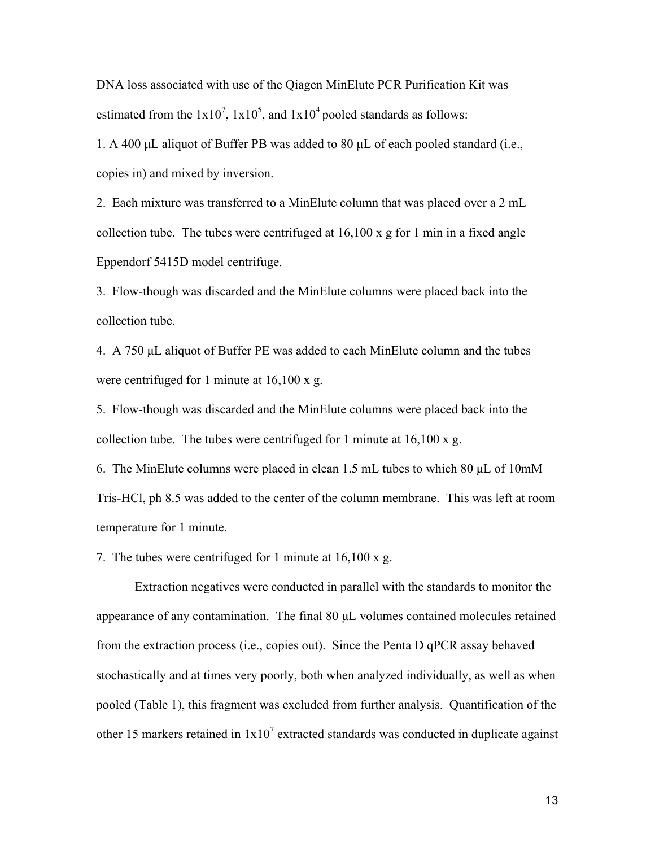DNA loss associated with use of the Qiagen MinElute PCR Purification Kit was estimated from the  $1x10^7$ ,  $1x10^5$ , and  $1x10^4$  pooled standards as follows:

1. A 400 µL aliquot of Buffer PB was added to 80 µL of each pooled standard (i.e., copies in) and mixed by inversion.

2. Each mixture was transferred to a MinElute column that was placed over a 2 mL collection tube. The tubes were centrifuged at 16,100 x g for 1 min in a fixed angle Eppendorf 5415D model centrifuge.

3. Flow-though was discarded and the MinElute columns were placed back into the collection tube.

4. A 750 µL aliquot of Buffer PE was added to each MinElute column and the tubes were centrifuged for 1 minute at 16,100 x g.

5. Flow-though was discarded and the MinElute columns were placed back into the collection tube. The tubes were centrifuged for 1 minute at 16,100 x g.

6. The MinElute columns were placed in clean 1.5 mL tubes to which 80 µL of 10mM Tris-HCl, ph 8.5 was added to the center of the column membrane. This was left at room temperature for 1 minute.

7. The tubes were centrifuged for 1 minute at 16,100 x g.

Extraction negatives were conducted in parallel with the standards to monitor the appearance of any contamination. The final 80 µL volumes contained molecules retained from the extraction process (i.e., copies out). Since the Penta D qPCR assay behaved stochastically and at times very poorly, both when analyzed individually, as well as when pooled (Table 1), this fragment was excluded from further analysis. Quantification of the other 15 markers retained in  $1x10^7$  extracted standards was conducted in duplicate against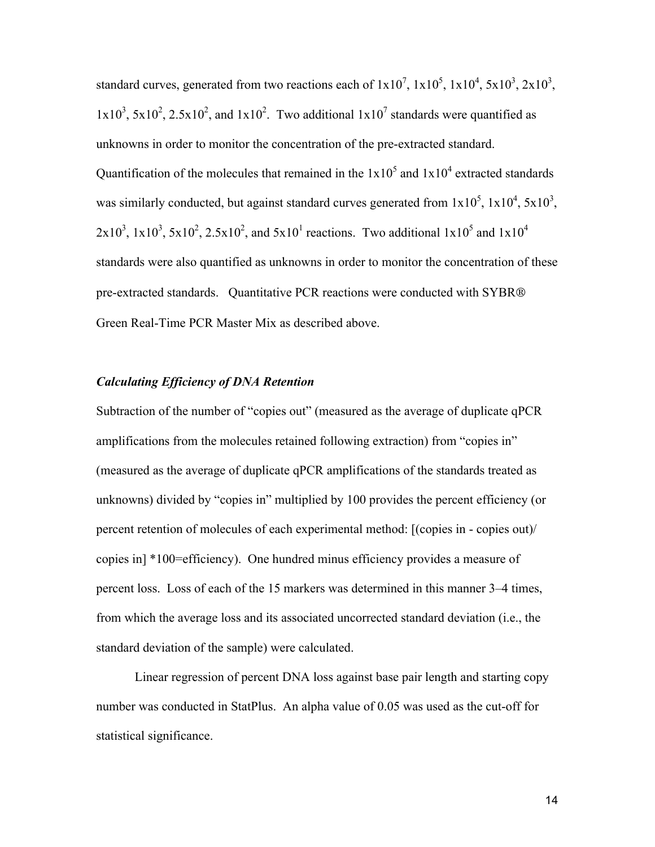standard curves, generated from two reactions each of  $1x10^7$ ,  $1x10^5$ ,  $1x10^4$ ,  $5x10^3$ ,  $2x10^3$ ,  $1x10^3$ ,  $5x10^2$ ,  $2.5x10^2$ , and  $1x10^2$ . Two additional  $1x10^7$  standards were quantified as unknowns in order to monitor the concentration of the pre-extracted standard. Quantification of the molecules that remained in the  $1x10^5$  and  $1x10^4$  extracted standards was similarly conducted, but against standard curves generated from  $1x10^5$ ,  $1x10^4$ ,  $5x10^3$ ,  $2x10^3$ ,  $1x10^3$ ,  $5x10^2$ ,  $2.5x10^2$ , and  $5x10^1$  reactions. Two additional  $1x10^5$  and  $1x10^4$ standards were also quantified as unknowns in order to monitor the concentration of these pre-extracted standards. Quantitative PCR reactions were conducted with SYBR® Green Real-Time PCR Master Mix as described above.

#### *Calculating Efficiency of DNA Retention*

Subtraction of the number of "copies out" (measured as the average of duplicate qPCR amplifications from the molecules retained following extraction) from "copies in" (measured as the average of duplicate qPCR amplifications of the standards treated as unknowns) divided by "copies in" multiplied by 100 provides the percent efficiency (or percent retention of molecules of each experimental method: [(copies in - copies out)/ copies in] \*100=efficiency). One hundred minus efficiency provides a measure of percent loss. Loss of each of the 15 markers was determined in this manner 3–4 times, from which the average loss and its associated uncorrected standard deviation (i.e., the standard deviation of the sample) were calculated.

Linear regression of percent DNA loss against base pair length and starting copy number was conducted in StatPlus. An alpha value of 0.05 was used as the cut-off for statistical significance.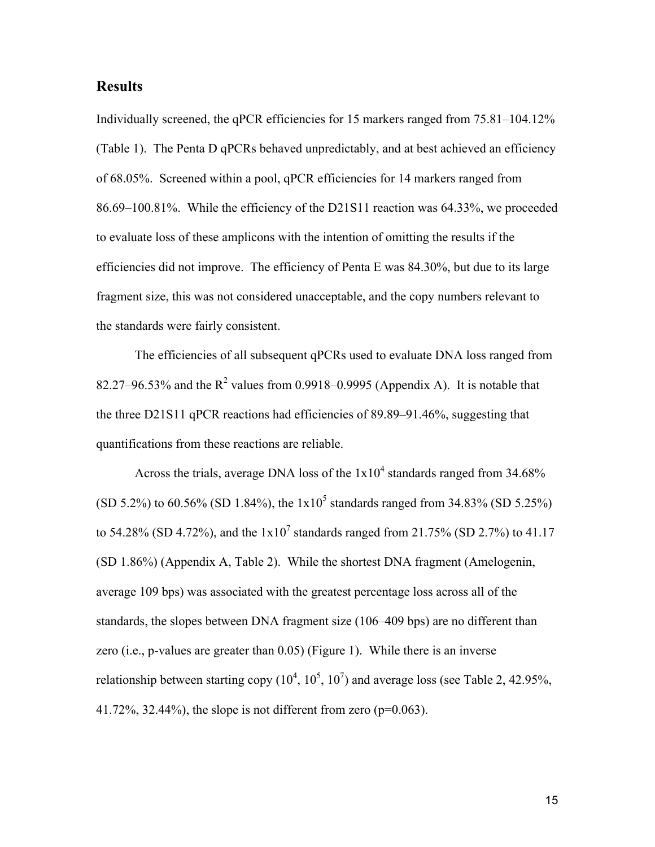## **Results**

Individually screened, the qPCR efficiencies for 15 markers ranged from 75.81–104.12% (Table 1). The Penta D qPCRs behaved unpredictably, and at best achieved an efficiency of 68.05%. Screened within a pool, qPCR efficiencies for 14 markers ranged from 86.69–100.81%. While the efficiency of the D21S11 reaction was 64.33%, we proceeded to evaluate loss of these amplicons with the intention of omitting the results if the efficiencies did not improve. The efficiency of Penta E was 84.30%, but due to its large fragment size, this was not considered unacceptable, and the copy numbers relevant to the standards were fairly consistent.

The efficiencies of all subsequent qPCRs used to evaluate DNA loss ranged from 82.27–96.53% and the  $R^2$  values from 0.9918–0.9995 (Appendix A). It is notable that the three D21S11 qPCR reactions had efficiencies of 89.89–91.46%, suggesting that quantifications from these reactions are reliable.

Across the trials, average DNA loss of the  $1x10^4$  standards ranged from 34.68% (SD 5.2%) to 60.56% (SD 1.84%), the  $1x10^5$  standards ranged from 34.83% (SD 5.25%) to 54.28% (SD 4.72%), and the  $1x10^7$  standards ranged from 21.75% (SD 2.7%) to 41.17 (SD 1.86%) (Appendix A, Table 2). While the shortest DNA fragment (Amelogenin, average 109 bps) was associated with the greatest percentage loss across all of the standards, the slopes between DNA fragment size (106–409 bps) are no different than zero (i.e., p-values are greater than 0.05) (Figure 1). While there is an inverse relationship between starting copy  $(10^4, 10^5, 10^7)$  and average loss (see Table 2, 42.95%, 41.72%, 32.44%), the slope is not different from zero ( $p=0.063$ ).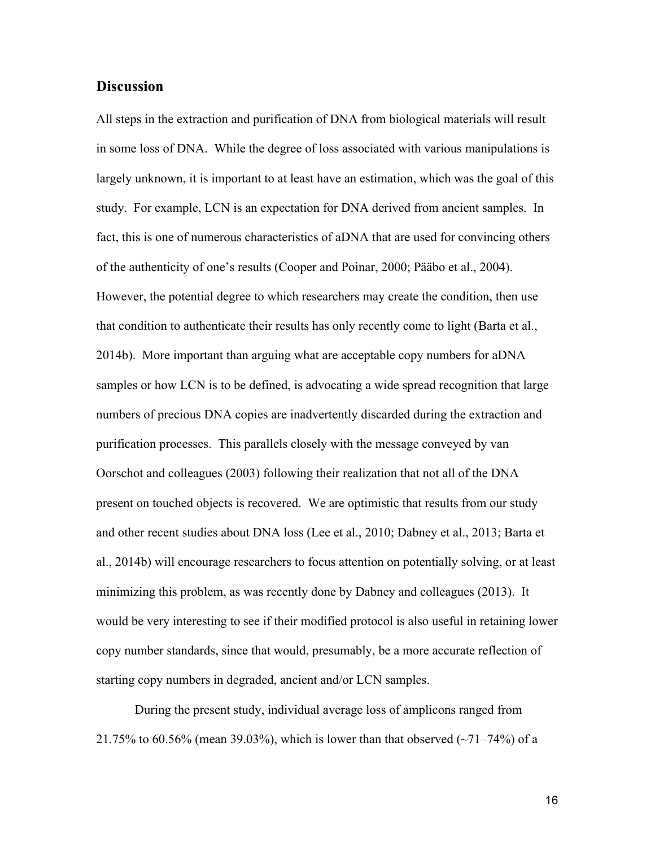## **Discussion**

All steps in the extraction and purification of DNA from biological materials will result in some loss of DNA. While the degree of loss associated with various manipulations is largely unknown, it is important to at least have an estimation, which was the goal of this study. For example, LCN is an expectation for DNA derived from ancient samples. In fact, this is one of numerous characteristics of aDNA that are used for convincing others of the authenticity of one's results (Cooper and Poinar, 2000; Pääbo et al., 2004). However, the potential degree to which researchers may create the condition, then use that condition to authenticate their results has only recently come to light (Barta et al., 2014b). More important than arguing what are acceptable copy numbers for aDNA samples or how LCN is to be defined, is advocating a wide spread recognition that large numbers of precious DNA copies are inadvertently discarded during the extraction and purification processes. This parallels closely with the message conveyed by van Oorschot and colleagues (2003) following their realization that not all of the DNA present on touched objects is recovered. We are optimistic that results from our study and other recent studies about DNA loss (Lee et al., 2010; Dabney et al., 2013; Barta et al., 2014b) will encourage researchers to focus attention on potentially solving, or at least minimizing this problem, as was recently done by Dabney and colleagues (2013). It would be very interesting to see if their modified protocol is also useful in retaining lower copy number standards, since that would, presumably, be a more accurate reflection of starting copy numbers in degraded, ancient and/or LCN samples.

During the present study, individual average loss of amplicons ranged from 21.75% to 60.56% (mean 39.03%), which is lower than that observed  $(\sim 71-74\%)$  of a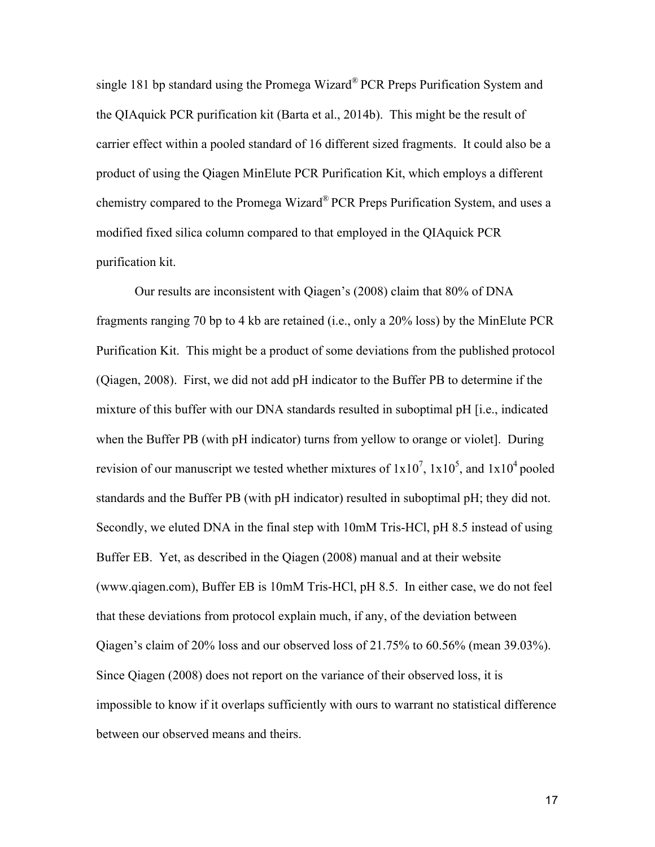single 181 bp standard using the Promega Wizard<sup>®</sup> PCR Preps Purification System and the QIAquick PCR purification kit (Barta et al., 2014b). This might be the result of carrier effect within a pooled standard of 16 different sized fragments. It could also be a product of using the Qiagen MinElute PCR Purification Kit, which employs a different chemistry compared to the Promega Wizard® PCR Preps Purification System, and uses a modified fixed silica column compared to that employed in the QIAquick PCR purification kit.

Our results are inconsistent with Qiagen's (2008) claim that 80% of DNA fragments ranging 70 bp to 4 kb are retained (i.e., only a 20% loss) by the MinElute PCR Purification Kit. This might be a product of some deviations from the published protocol (Qiagen, 2008). First, we did not add pH indicator to the Buffer PB to determine if the mixture of this buffer with our DNA standards resulted in suboptimal pH [i.e., indicated when the Buffer PB (with pH indicator) turns from yellow to orange or violet]. During revision of our manuscript we tested whether mixtures of  $1x10^7$ ,  $1x10^5$ , and  $1x10^4$  pooled standards and the Buffer PB (with pH indicator) resulted in suboptimal pH; they did not. Secondly, we eluted DNA in the final step with 10mM Tris-HCl, pH 8.5 instead of using Buffer EB. Yet, as described in the Qiagen (2008) manual and at their website (www.qiagen.com), Buffer EB is 10mM Tris-HCl, pH 8.5. In either case, we do not feel that these deviations from protocol explain much, if any, of the deviation between Qiagen's claim of 20% loss and our observed loss of 21.75% to 60.56% (mean 39.03%). Since Qiagen (2008) does not report on the variance of their observed loss, it is impossible to know if it overlaps sufficiently with ours to warrant no statistical difference between our observed means and theirs.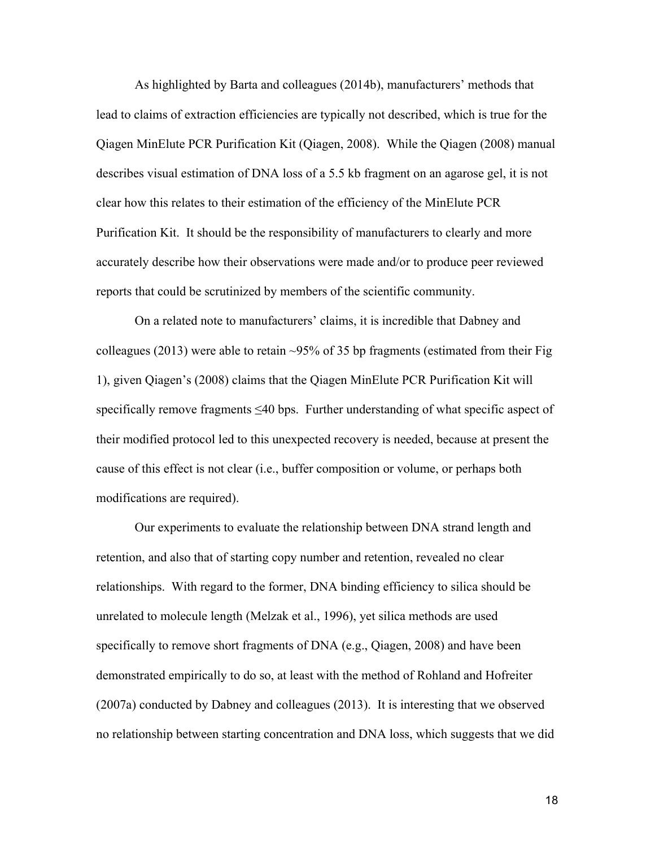As highlighted by Barta and colleagues (2014b), manufacturers' methods that lead to claims of extraction efficiencies are typically not described, which is true for the Qiagen MinElute PCR Purification Kit (Qiagen, 2008). While the Qiagen (2008) manual describes visual estimation of DNA loss of a 5.5 kb fragment on an agarose gel, it is not clear how this relates to their estimation of the efficiency of the MinElute PCR Purification Kit. It should be the responsibility of manufacturers to clearly and more accurately describe how their observations were made and/or to produce peer reviewed reports that could be scrutinized by members of the scientific community.

On a related note to manufacturers' claims, it is incredible that Dabney and colleagues (2013) were able to retain ~95% of 35 bp fragments (estimated from their Fig 1), given Qiagen's (2008) claims that the Qiagen MinElute PCR Purification Kit will specifically remove fragments ≤40 bps. Further understanding of what specific aspect of their modified protocol led to this unexpected recovery is needed, because at present the cause of this effect is not clear (i.e., buffer composition or volume, or perhaps both modifications are required).

Our experiments to evaluate the relationship between DNA strand length and retention, and also that of starting copy number and retention, revealed no clear relationships. With regard to the former, DNA binding efficiency to silica should be unrelated to molecule length (Melzak et al., 1996), yet silica methods are used specifically to remove short fragments of DNA (e.g., Qiagen, 2008) and have been demonstrated empirically to do so, at least with the method of Rohland and Hofreiter (2007a) conducted by Dabney and colleagues (2013). It is interesting that we observed no relationship between starting concentration and DNA loss, which suggests that we did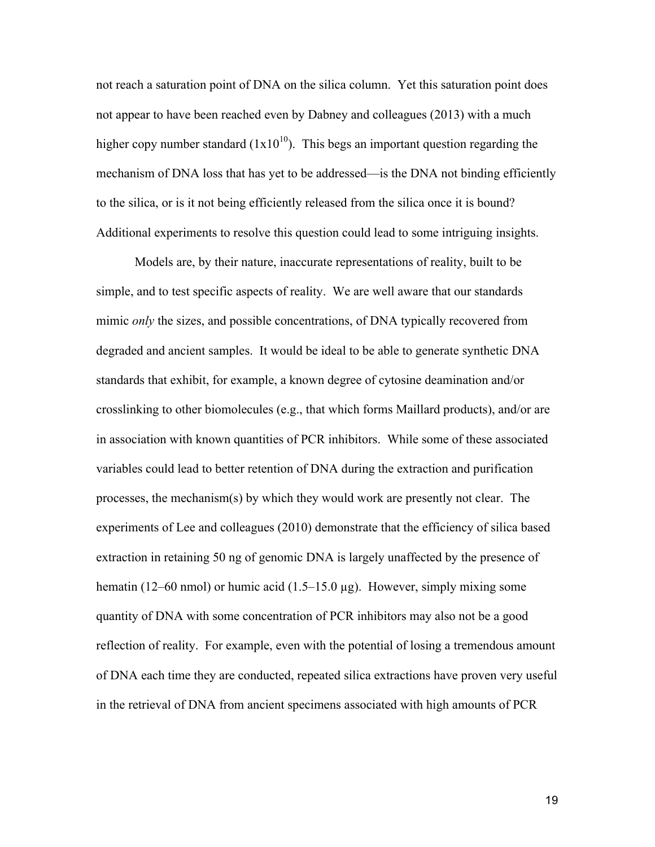not reach a saturation point of DNA on the silica column. Yet this saturation point does not appear to have been reached even by Dabney and colleagues (2013) with a much higher copy number standard  $(1x10^{10})$ . This begs an important question regarding the mechanism of DNA loss that has yet to be addressed—is the DNA not binding efficiently to the silica, or is it not being efficiently released from the silica once it is bound? Additional experiments to resolve this question could lead to some intriguing insights.

Models are, by their nature, inaccurate representations of reality, built to be simple, and to test specific aspects of reality. We are well aware that our standards mimic *only* the sizes, and possible concentrations, of DNA typically recovered from degraded and ancient samples. It would be ideal to be able to generate synthetic DNA standards that exhibit, for example, a known degree of cytosine deamination and/or crosslinking to other biomolecules (e.g., that which forms Maillard products), and/or are in association with known quantities of PCR inhibitors. While some of these associated variables could lead to better retention of DNA during the extraction and purification processes, the mechanism(s) by which they would work are presently not clear. The experiments of Lee and colleagues (2010) demonstrate that the efficiency of silica based extraction in retaining 50 ng of genomic DNA is largely unaffected by the presence of hematin (12–60 nmol) or humic acid (1.5–15.0  $\mu$ g). However, simply mixing some quantity of DNA with some concentration of PCR inhibitors may also not be a good reflection of reality. For example, even with the potential of losing a tremendous amount of DNA each time they are conducted, repeated silica extractions have proven very useful in the retrieval of DNA from ancient specimens associated with high amounts of PCR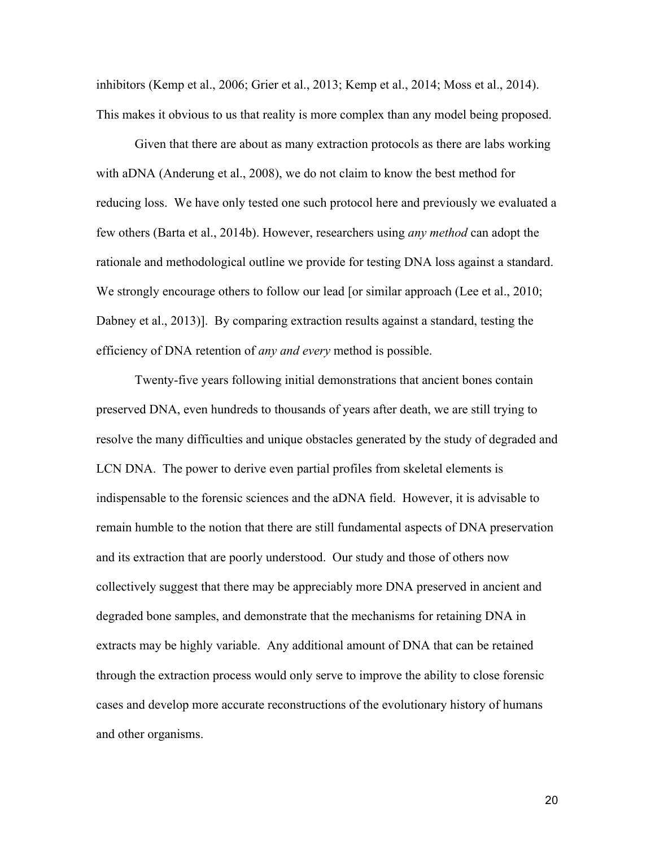inhibitors (Kemp et al., 2006; Grier et al., 2013; Kemp et al., 2014; Moss et al., 2014). This makes it obvious to us that reality is more complex than any model being proposed.

Given that there are about as many extraction protocols as there are labs working with aDNA (Anderung et al., 2008), we do not claim to know the best method for reducing loss. We have only tested one such protocol here and previously we evaluated a few others (Barta et al., 2014b). However, researchers using *any method* can adopt the rationale and methodological outline we provide for testing DNA loss against a standard. We strongly encourage others to follow our lead [or similar approach (Lee et al., 2010; Dabney et al., 2013)]. By comparing extraction results against a standard, testing the efficiency of DNA retention of *any and every* method is possible.

Twenty-five years following initial demonstrations that ancient bones contain preserved DNA, even hundreds to thousands of years after death, we are still trying to resolve the many difficulties and unique obstacles generated by the study of degraded and LCN DNA. The power to derive even partial profiles from skeletal elements is indispensable to the forensic sciences and the aDNA field. However, it is advisable to remain humble to the notion that there are still fundamental aspects of DNA preservation and its extraction that are poorly understood. Our study and those of others now collectively suggest that there may be appreciably more DNA preserved in ancient and degraded bone samples, and demonstrate that the mechanisms for retaining DNA in extracts may be highly variable. Any additional amount of DNA that can be retained through the extraction process would only serve to improve the ability to close forensic cases and develop more accurate reconstructions of the evolutionary history of humans and other organisms.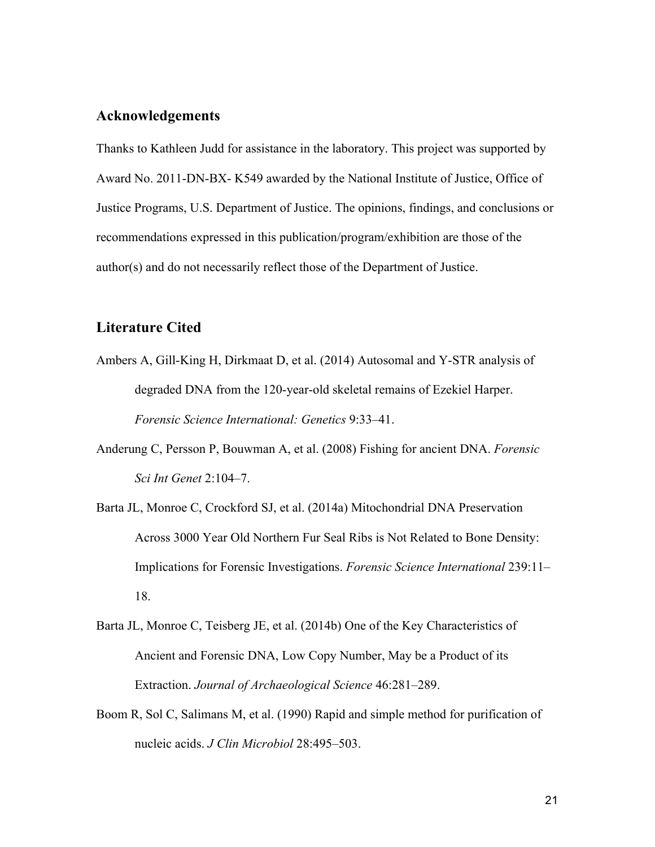## **Acknowledgements**

Thanks to Kathleen Judd for assistance in the laboratory. This project was supported by Award No. 2011-DN-BX- K549 awarded by the National Institute of Justice, Office of Justice Programs, U.S. Department of Justice. The opinions, findings, and conclusions or recommendations expressed in this publication/program/exhibition are those of the author(s) and do not necessarily reflect those of the Department of Justice.

## **Literature Cited**

- Ambers A, Gill-King H, Dirkmaat D, et al. (2014) Autosomal and Y-STR analysis of degraded DNA from the 120-year-old skeletal remains of Ezekiel Harper. *Forensic Science International: Genetics* 9:33–41.
- Anderung C, Persson P, Bouwman A, et al. (2008) Fishing for ancient DNA. *Forensic Sci Int Genet* 2:104–7.
- Barta JL, Monroe C, Crockford SJ, et al. (2014a) Mitochondrial DNA Preservation Across 3000 Year Old Northern Fur Seal Ribs is Not Related to Bone Density: Implications for Forensic Investigations. *Forensic Science International* 239:11– 18.
- Barta JL, Monroe C, Teisberg JE, et al. (2014b) One of the Key Characteristics of Ancient and Forensic DNA, Low Copy Number, May be a Product of its Extraction. *Journal of Archaeological Science* 46:281–289.
- Boom R, Sol C, Salimans M, et al. (1990) Rapid and simple method for purification of nucleic acids. *J Clin Microbiol* 28:495–503.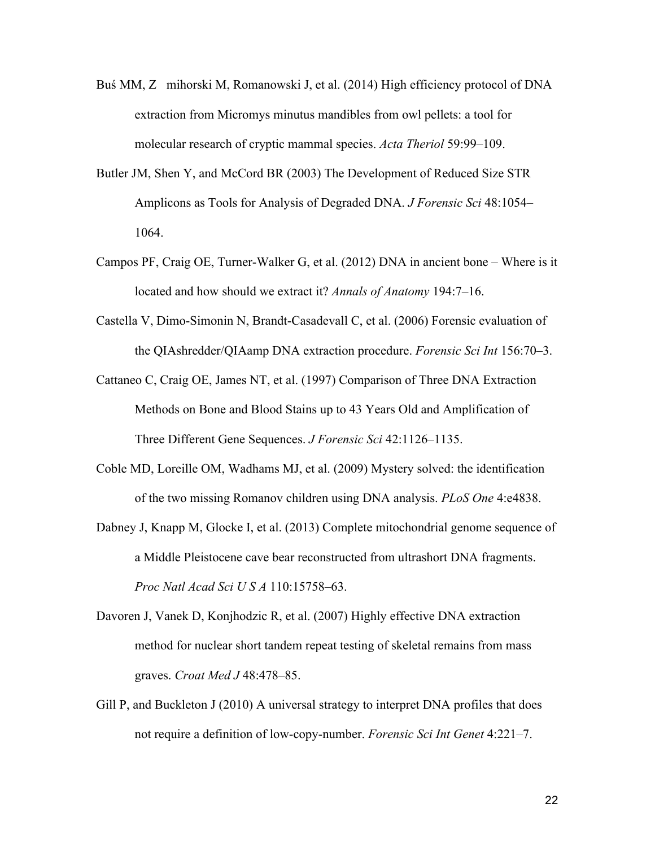- Buś MM, Z mihorski M, Romanowski J, et al. (2014) High efficiency protocol of DNA extraction from Micromys minutus mandibles from owl pellets: a tool for molecular research of cryptic mammal species. *Acta Theriol* 59:99–109.
- Butler JM, Shen Y, and McCord BR (2003) The Development of Reduced Size STR Amplicons as Tools for Analysis of Degraded DNA. *J Forensic Sci* 48:1054– 1064.
- Campos PF, Craig OE, Turner-Walker G, et al. (2012) DNA in ancient bone Where is it located and how should we extract it? *Annals of Anatomy* 194:7–16.
- Castella V, Dimo-Simonin N, Brandt-Casadevall C, et al. (2006) Forensic evaluation of the QIAshredder/QIAamp DNA extraction procedure. *Forensic Sci Int* 156:70–3.
- Cattaneo C, Craig OE, James NT, et al. (1997) Comparison of Three DNA Extraction Methods on Bone and Blood Stains up to 43 Years Old and Amplification of Three Different Gene Sequences. *J Forensic Sci* 42:1126–1135.
- Coble MD, Loreille OM, Wadhams MJ, et al. (2009) Mystery solved: the identification of the two missing Romanov children using DNA analysis. *PLoS One* 4:e4838.
- Dabney J, Knapp M, Glocke I, et al. (2013) Complete mitochondrial genome sequence of a Middle Pleistocene cave bear reconstructed from ultrashort DNA fragments. *Proc Natl Acad Sci U S A* 110:15758–63.
- Davoren J, Vanek D, Konjhodzic R, et al. (2007) Highly effective DNA extraction method for nuclear short tandem repeat testing of skeletal remains from mass graves. *Croat Med J* 48:478–85.
- Gill P, and Buckleton J (2010) A universal strategy to interpret DNA profiles that does not require a definition of low-copy-number. *Forensic Sci Int Genet* 4:221–7.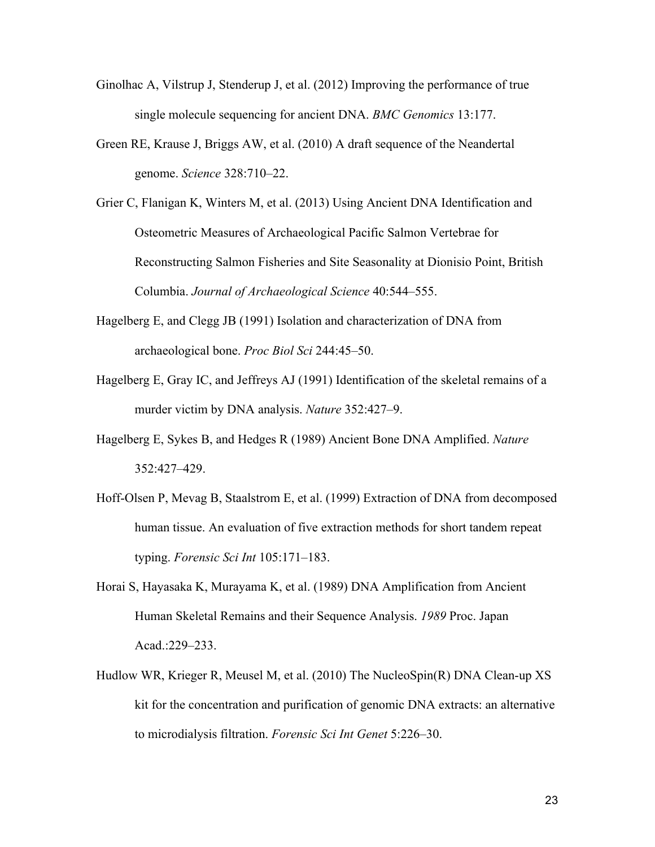- Ginolhac A, Vilstrup J, Stenderup J, et al. (2012) Improving the performance of true single molecule sequencing for ancient DNA. *BMC Genomics* 13:177.
- Green RE, Krause J, Briggs AW, et al. (2010) A draft sequence of the Neandertal genome. *Science* 328:710–22.
- Grier C, Flanigan K, Winters M, et al. (2013) Using Ancient DNA Identification and Osteometric Measures of Archaeological Pacific Salmon Vertebrae for Reconstructing Salmon Fisheries and Site Seasonality at Dionisio Point, British Columbia. *Journal of Archaeological Science* 40:544–555.
- Hagelberg E, and Clegg JB (1991) Isolation and characterization of DNA from archaeological bone. *Proc Biol Sci* 244:45–50.
- Hagelberg E, Gray IC, and Jeffreys AJ (1991) Identification of the skeletal remains of a murder victim by DNA analysis. *Nature* 352:427–9.
- Hagelberg E, Sykes B, and Hedges R (1989) Ancient Bone DNA Amplified. *Nature* 352:427–429.
- Hoff-Olsen P, Mevag B, Staalstrom E, et al. (1999) Extraction of DNA from decomposed human tissue. An evaluation of five extraction methods for short tandem repeat typing. *Forensic Sci Int* 105:171–183.
- Horai S, Hayasaka K, Murayama K, et al. (1989) DNA Amplification from Ancient Human Skeletal Remains and their Sequence Analysis. *1989* Proc. Japan Acad.:229–233.
- Hudlow WR, Krieger R, Meusel M, et al. (2010) The NucleoSpin(R) DNA Clean-up XS kit for the concentration and purification of genomic DNA extracts: an alternative to microdialysis filtration. *Forensic Sci Int Genet* 5:226–30.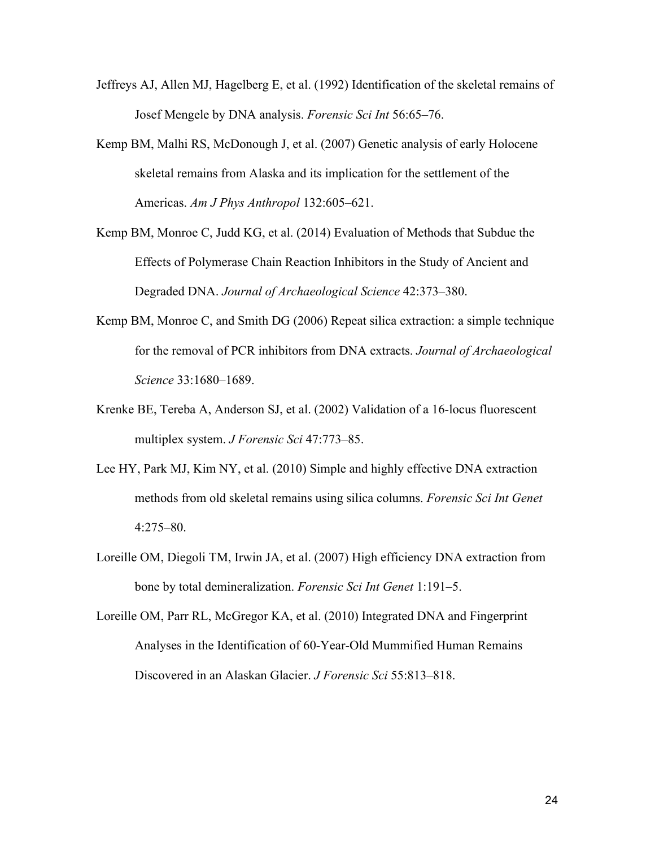- Jeffreys AJ, Allen MJ, Hagelberg E, et al. (1992) Identification of the skeletal remains of Josef Mengele by DNA analysis. *Forensic Sci Int* 56:65–76.
- Kemp BM, Malhi RS, McDonough J, et al. (2007) Genetic analysis of early Holocene skeletal remains from Alaska and its implication for the settlement of the Americas. *Am J Phys Anthropol* 132:605–621.
- Kemp BM, Monroe C, Judd KG, et al. (2014) Evaluation of Methods that Subdue the Effects of Polymerase Chain Reaction Inhibitors in the Study of Ancient and Degraded DNA. *Journal of Archaeological Science* 42:373–380.
- Kemp BM, Monroe C, and Smith DG (2006) Repeat silica extraction: a simple technique for the removal of PCR inhibitors from DNA extracts. *Journal of Archaeological Science* 33:1680–1689.
- Krenke BE, Tereba A, Anderson SJ, et al. (2002) Validation of a 16-locus fluorescent multiplex system. *J Forensic Sci* 47:773–85.
- Lee HY, Park MJ, Kim NY, et al. (2010) Simple and highly effective DNA extraction methods from old skeletal remains using silica columns. *Forensic Sci Int Genet* 4:275–80.
- Loreille OM, Diegoli TM, Irwin JA, et al. (2007) High efficiency DNA extraction from bone by total demineralization. *Forensic Sci Int Genet* 1:191–5.
- Loreille OM, Parr RL, McGregor KA, et al. (2010) Integrated DNA and Fingerprint Analyses in the Identification of 60-Year-Old Mummified Human Remains Discovered in an Alaskan Glacier. *J Forensic Sci* 55:813–818.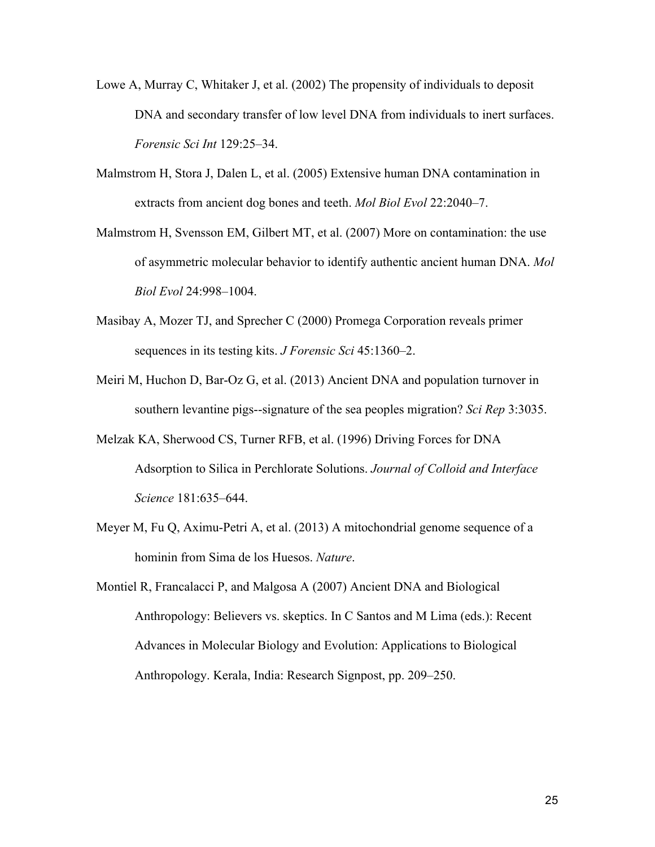- Lowe A, Murray C, Whitaker J, et al. (2002) The propensity of individuals to deposit DNA and secondary transfer of low level DNA from individuals to inert surfaces. *Forensic Sci Int* 129:25–34.
- Malmstrom H, Stora J, Dalen L, et al. (2005) Extensive human DNA contamination in extracts from ancient dog bones and teeth. *Mol Biol Evol* 22:2040–7.
- Malmstrom H, Svensson EM, Gilbert MT, et al. (2007) More on contamination: the use of asymmetric molecular behavior to identify authentic ancient human DNA. *Mol Biol Evol* 24:998–1004.
- Masibay A, Mozer TJ, and Sprecher C (2000) Promega Corporation reveals primer sequences in its testing kits. *J Forensic Sci* 45:1360–2.
- Meiri M, Huchon D, Bar-Oz G, et al. (2013) Ancient DNA and population turnover in southern levantine pigs--signature of the sea peoples migration? *Sci Rep* 3:3035.
- Melzak KA, Sherwood CS, Turner RFB, et al. (1996) Driving Forces for DNA Adsorption to Silica in Perchlorate Solutions. *Journal of Colloid and Interface Science* 181:635–644.
- Meyer M, Fu Q, Aximu-Petri A, et al. (2013) A mitochondrial genome sequence of a hominin from Sima de los Huesos. *Nature*.
- Montiel R, Francalacci P, and Malgosa A (2007) Ancient DNA and Biological Anthropology: Believers vs. skeptics. In C Santos and M Lima (eds.): Recent Advances in Molecular Biology and Evolution: Applications to Biological Anthropology. Kerala, India: Research Signpost, pp. 209–250.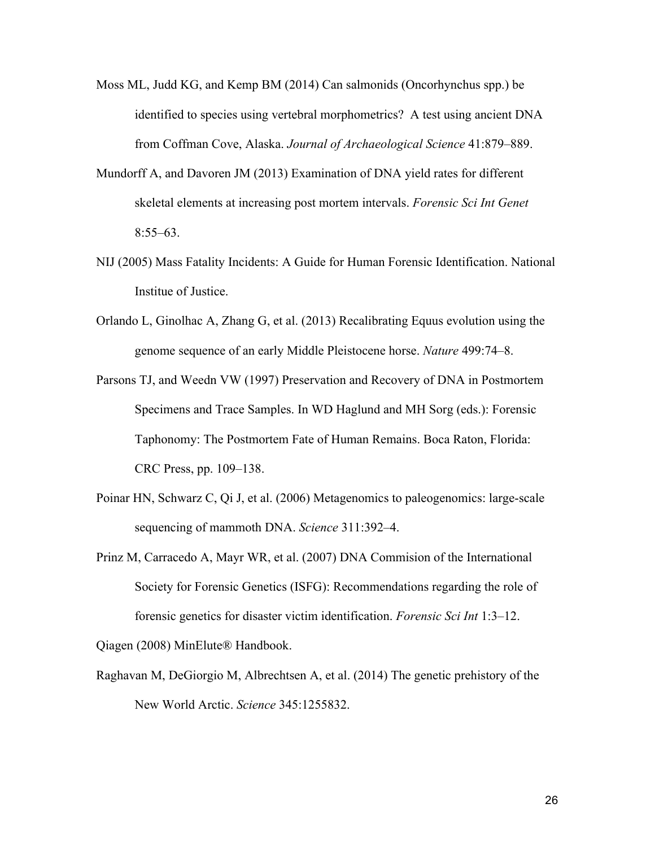- Moss ML, Judd KG, and Kemp BM (2014) Can salmonids (Oncorhynchus spp.) be identified to species using vertebral morphometrics? A test using ancient DNA from Coffman Cove, Alaska. *Journal of Archaeological Science* 41:879–889.
- Mundorff A, and Davoren JM (2013) Examination of DNA yield rates for different skeletal elements at increasing post mortem intervals. *Forensic Sci Int Genet* 8:55–63.
- NIJ (2005) Mass Fatality Incidents: A Guide for Human Forensic Identification. National Institue of Justice.
- Orlando L, Ginolhac A, Zhang G, et al. (2013) Recalibrating Equus evolution using the genome sequence of an early Middle Pleistocene horse. *Nature* 499:74–8.
- Parsons TJ, and Weedn VW (1997) Preservation and Recovery of DNA in Postmortem Specimens and Trace Samples. In WD Haglund and MH Sorg (eds.): Forensic Taphonomy: The Postmortem Fate of Human Remains. Boca Raton, Florida: CRC Press, pp. 109–138.
- Poinar HN, Schwarz C, Qi J, et al. (2006) Metagenomics to paleogenomics: large-scale sequencing of mammoth DNA. *Science* 311:392–4.
- Prinz M, Carracedo A, Mayr WR, et al. (2007) DNA Commision of the International Society for Forensic Genetics (ISFG): Recommendations regarding the role of forensic genetics for disaster victim identification. *Forensic Sci Int* 1:3–12.

Qiagen (2008) MinElute® Handbook.

Raghavan M, DeGiorgio M, Albrechtsen A, et al. (2014) The genetic prehistory of the New World Arctic. *Science* 345:1255832.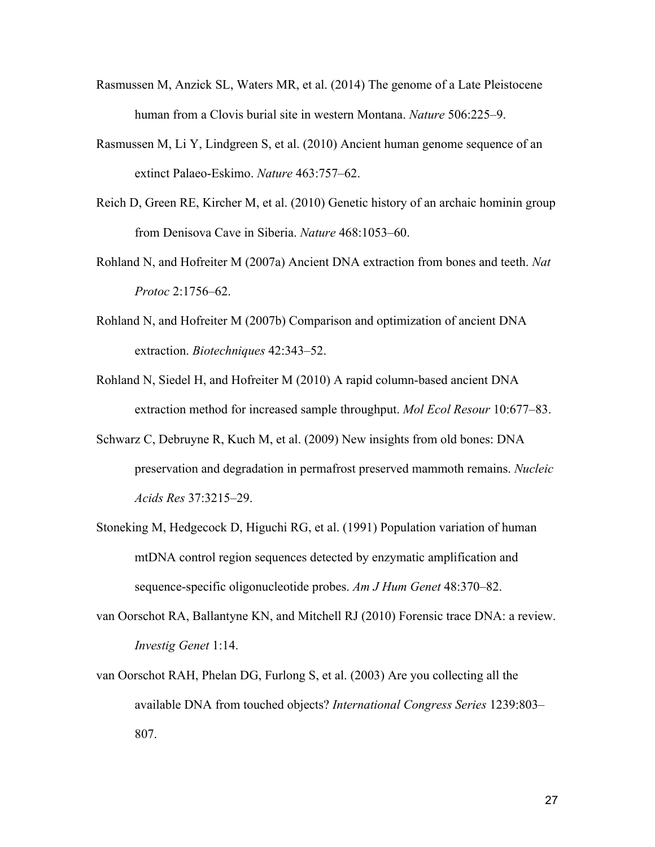- Rasmussen M, Anzick SL, Waters MR, et al. (2014) The genome of a Late Pleistocene human from a Clovis burial site in western Montana. *Nature* 506:225–9.
- Rasmussen M, Li Y, Lindgreen S, et al. (2010) Ancient human genome sequence of an extinct Palaeo-Eskimo. *Nature* 463:757–62.
- Reich D, Green RE, Kircher M, et al. (2010) Genetic history of an archaic hominin group from Denisova Cave in Siberia. *Nature* 468:1053–60.
- Rohland N, and Hofreiter M (2007a) Ancient DNA extraction from bones and teeth. *Nat Protoc* 2:1756–62.
- Rohland N, and Hofreiter M (2007b) Comparison and optimization of ancient DNA extraction. *Biotechniques* 42:343–52.
- Rohland N, Siedel H, and Hofreiter M (2010) A rapid column-based ancient DNA extraction method for increased sample throughput. *Mol Ecol Resour* 10:677–83.
- Schwarz C, Debruyne R, Kuch M, et al. (2009) New insights from old bones: DNA preservation and degradation in permafrost preserved mammoth remains. *Nucleic Acids Res* 37:3215–29.
- Stoneking M, Hedgecock D, Higuchi RG, et al. (1991) Population variation of human mtDNA control region sequences detected by enzymatic amplification and sequence-specific oligonucleotide probes. *Am J Hum Genet* 48:370–82.
- van Oorschot RA, Ballantyne KN, and Mitchell RJ (2010) Forensic trace DNA: a review. *Investig Genet* 1:14.
- van Oorschot RAH, Phelan DG, Furlong S, et al. (2003) Are you collecting all the available DNA from touched objects? *International Congress Series* 1239:803– 807.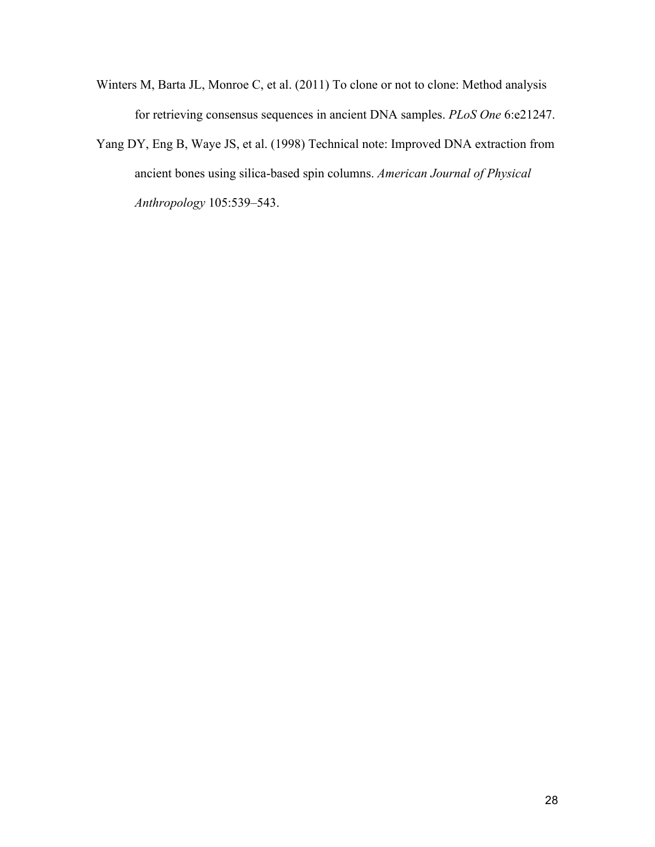- Winters M, Barta JL, Monroe C, et al. (2011) To clone or not to clone: Method analysis for retrieving consensus sequences in ancient DNA samples. *PLoS One* 6:e21247.
- Yang DY, Eng B, Waye JS, et al. (1998) Technical note: Improved DNA extraction from ancient bones using silica-based spin columns. *American Journal of Physical Anthropology* 105:539–543.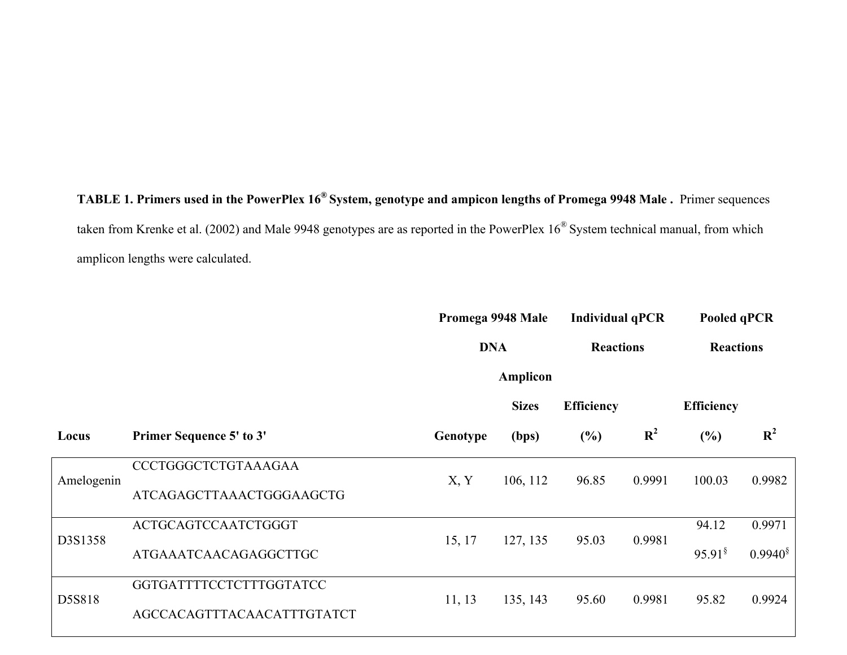**TABLE 1. Primers used in the PowerPlex 16® System, genotype and ampicon lengths of Promega 9948 Male .** Primer sequences taken from Krenke et al. (2002) and Male 9948 genotypes are as reported in the PowerPlex 16® System technical manual, from which amplicon lengths were calculated.

|            |                                                       | Promega 9948 Male |                 | <b>Individual qPCR</b> |                | Pooled qPCR           |                |
|------------|-------------------------------------------------------|-------------------|-----------------|------------------------|----------------|-----------------------|----------------|
|            |                                                       | <b>DNA</b>        |                 | <b>Reactions</b>       |                | <b>Reactions</b>      |                |
|            |                                                       |                   | <b>Amplicon</b> |                        |                |                       |                |
|            |                                                       |                   | <b>Sizes</b>    | <b>Efficiency</b>      |                | <b>Efficiency</b>     |                |
| Locus      | <b>Primer Sequence 5' to 3'</b>                       | Genotype          | (bps)           | (%)                    | $\mathbf{R}^2$ | (%)                   | $\mathbf{R}^2$ |
| Amelogenin | CCCTGGGCTCTGTAAAGAA<br>ATCAGAGCTTAAACTGGGAAGCTG       | X, Y              | 106, 112        | 96.85                  | 0.9991         | 100.03                | 0.9982         |
| D3S1358    | ACTGCAGTCCAATCTGGGT                                   | 15, 17            | 127, 135        | 95.03                  | 0.9981         | 94.12                 | 0.9971         |
|            | ATGAAATCAACAGAGGCTTGC                                 |                   |                 |                        |                | $95.91^{\frac{8}{3}}$ | $0.9940^{\$}$  |
| D5S818     | GGTGATTTTCCTCTTTGGTATCC<br>AGCCACAGTTTACAACATTTGTATCT | 11, 13            | 135, 143        | 95.60                  | 0.9981         | 95.82                 | 0.9924         |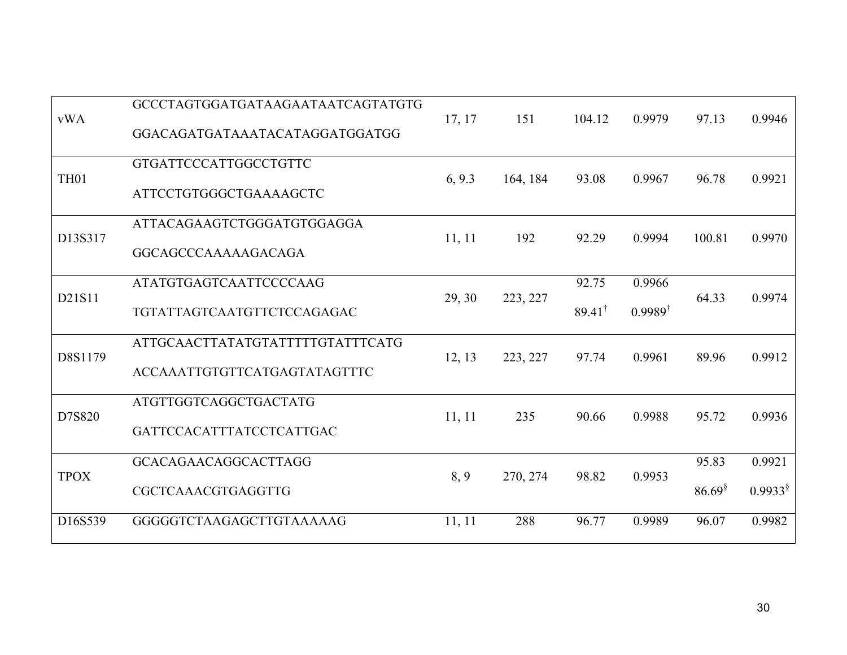| <b>vWA</b>       | GCCCTAGTGGATGATAAGAATAATCAGTATGTG<br>GGACAGATGATAAATACATAGGATGGATGG | 17, 17 | 151      | 104.12                     | 0.9979                       | 97.13                 | 0.9946               |
|------------------|---------------------------------------------------------------------|--------|----------|----------------------------|------------------------------|-----------------------|----------------------|
| TH <sub>01</sub> | GTGATTCCCATTGGCCTGTTC<br>ATTCCTGTGGGCTGAAAAGCTC                     | 6, 9.3 | 164, 184 | 93.08                      | 0.9967                       | 96.78                 | 0.9921               |
| D13S317          | ATTACAGAAGTCTGGGATGTGGAGGA<br>GGCAGCCCAAAAAGACAGA                   | 11, 11 | 192      | 92.29                      | 0.9994                       | 100.81                | 0.9970               |
| D21S11           | <b>ATATGTGAGTCAATTCCCCAAG</b><br>TGTATTAGTCAATGTTCTCCAGAGAC         | 29, 30 | 223, 227 | 92.75<br>$89.41^{\dagger}$ | 0.9966<br>$0.9989^{\dagger}$ | 64.33                 | 0.9974               |
| D8S1179          | ATTGCAACTTATATGTATTTTTGTATTTCATG<br>ACCAAATTGTGTTCATGAGTATAGTTTC    | 12, 13 | 223, 227 | 97.74                      | 0.9961                       | 89.96                 | 0.9912               |
| D7S820           | ATGTTGGTCAGGCTGACTATG<br>GATTCCACATTTATCCTCATTGAC                   | 11, 11 | 235      | 90.66                      | 0.9988                       | 95.72                 | 0.9936               |
| <b>TPOX</b>      | GCACAGAACAGGCACTTAGG<br>CGCTCAAACGTGAGGTTG                          | 8, 9   | 270, 274 | 98.82                      | 0.9953                       | 95.83<br>$86.69^{\$}$ | 0.9921<br>$0.9933^8$ |
| D16S539          | GGGGGTCTAAGAGCTTGTAAAAAG                                            | 11, 11 | 288      | 96.77                      | 0.9989                       | 96.07                 | 0.9982               |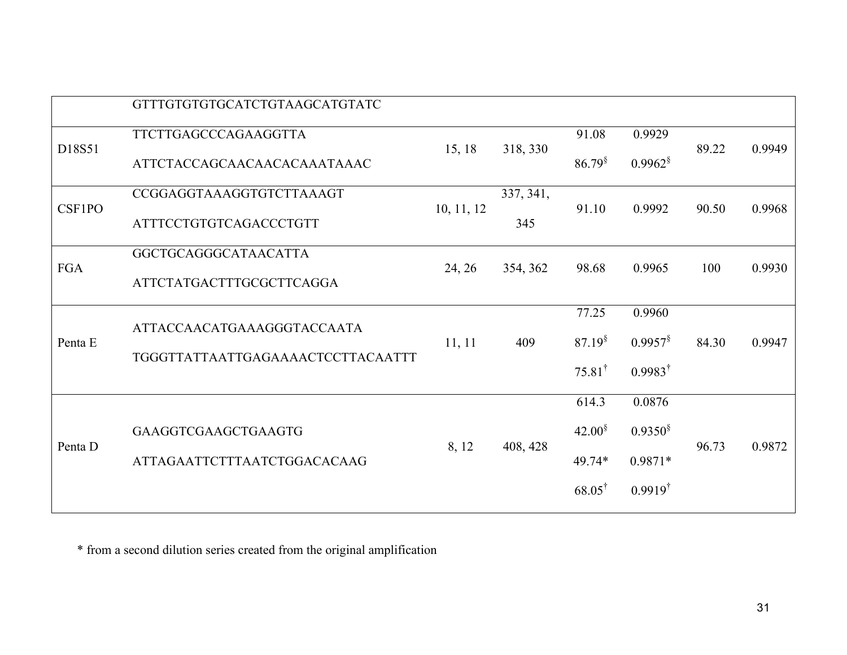|            | GTTTGTGTGTGCATCTGTAAGCATGTATC     |            |           |                   |                    |       |        |
|------------|-----------------------------------|------------|-----------|-------------------|--------------------|-------|--------|
| D18S51     | TTCTTGAGCCCAGAAGGTTA              |            |           | 91.08             | 0.9929             |       |        |
|            | ATTCTACCAGCAACAACACAAATAAAC       | 15, 18     | 318, 330  | $86.79^{\$}$      | $0.9962^8$         | 89.22 | 0.9949 |
| CSF1PO     | CCGGAGGTAAAGGTGTCTTAAAGT          |            | 337, 341, | 91.10             | 0.9992             | 90.50 | 0.9968 |
|            | ATTTCCTGTGTCAGACCCTGTT            | 10, 11, 12 | 345       |                   |                    |       |        |
| <b>FGA</b> | GGCTGCAGGGCATAACATTA              |            |           |                   | 0.9965             | 100   | 0.9930 |
|            | <b>ATTCTATGACTTTGCGCTTCAGGA</b>   | 24, 26     | 354, 362  | 98.68             |                    |       |        |
|            | ATTACCAACATGAAAGGGTACCAATA        |            | 409       | 77.25             | 0.9960             |       | 0.9947 |
| Penta E    |                                   | 11, 11     |           | $87.19^8$         | $0.9957^8$         | 84.30 |        |
|            | TGGGTTATTAATTGAGAAAACTCCTTACAATTT |            |           | $75.81^{\dagger}$ | $0.9983^{\dagger}$ |       |        |
|            |                                   |            |           | 614.3             | 0.0876             |       |        |
| Penta D    | <b>GAAGGTCGAAGCTGAAGTG</b>        | 8, 12      | 408, 428  | $42.00^{\$}$      | $0.9350^{\$}$      | 96.73 | 0.9872 |
|            | ATTAGAATTCTTTAATCTGGACACAAG       |            |           | 49.74*            | $0.9871*$          |       |        |
|            |                                   |            |           | $68.05^{\dagger}$ | $0.9919^{\dagger}$ |       |        |

\* from a second dilution series created from the original amplification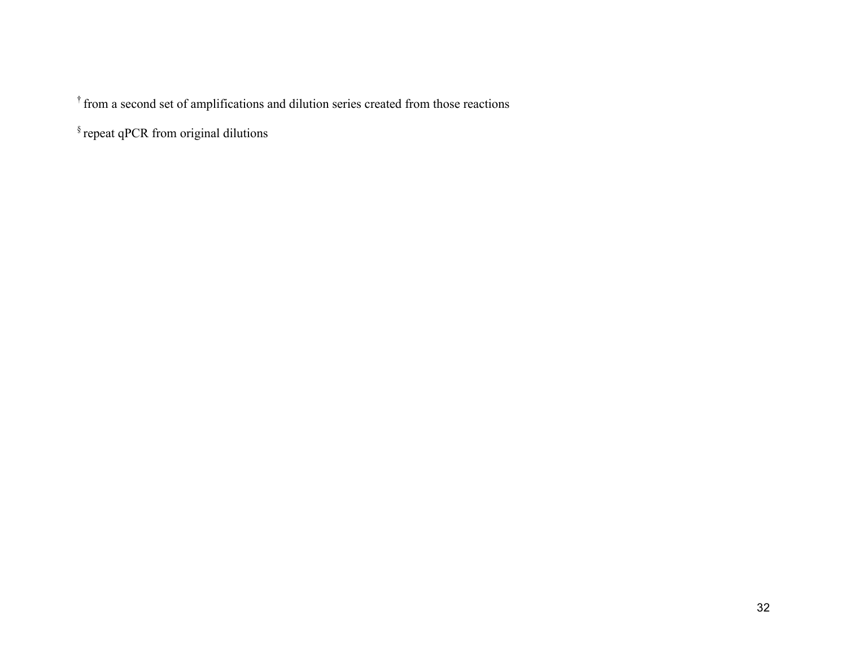† from a second set of amplifications and dilution series created from those reactions

§ repeat qPCR from original dilutions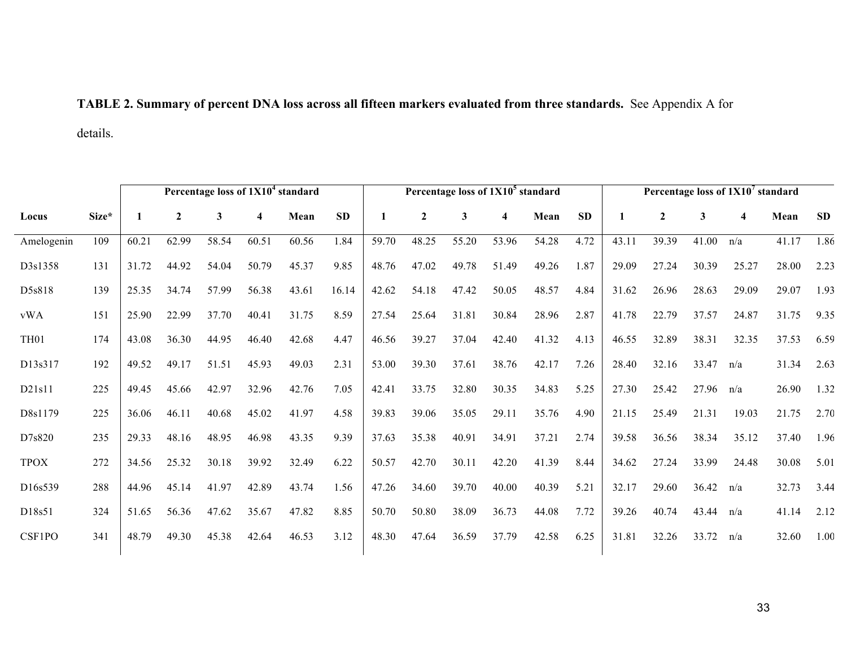# **TABLE 2. Summary of percent DNA loss across all fifteen markers evaluated from three standards.** See Appendix A for

details.

|                  |       |       | Percentage loss of 1X10 <sup>4</sup> standard |       |       |       |           | Percentage loss of 1X10 <sup>5</sup> standard |                  |       |       |       | Percentage loss of 1X10 <sup>7</sup> standard |       |                |             |       |       |            |
|------------------|-------|-------|-----------------------------------------------|-------|-------|-------|-----------|-----------------------------------------------|------------------|-------|-------|-------|-----------------------------------------------|-------|----------------|-------------|-------|-------|------------|
| Locus            | Size* |       | $\boldsymbol{2}$                              | 3     | 4     | Mean  | <b>SD</b> |                                               | $\boldsymbol{2}$ | 3     | 4     | Mean  | <b>SD</b>                                     | 1     | $\overline{2}$ | 3           | 4     | Mean  | ${\bf SD}$ |
| Amelogenin       | 109   | 60.21 | 62.99                                         | 58.54 | 60.51 | 60.56 | 1.84      | 59.70                                         | 48.25            | 55.20 | 53.96 | 54.28 | 4.72                                          | 43.11 | 39.39          | 41.00       | n/a   | 41.17 | 1.86       |
| D3s1358          | 131   | 31.72 | 44.92                                         | 54.04 | 50.79 | 45.37 | 9.85      | 48.76                                         | 47.02            | 49.78 | 51.49 | 49.26 | 1.87                                          | 29.09 | 27.24          | 30.39       | 25.27 | 28.00 | 2.23       |
| D5s818           | 139   | 25.35 | 34.74                                         | 57.99 | 56.38 | 43.61 | 16.14     | 42.62                                         | 54.18            | 47.42 | 50.05 | 48.57 | 4.84                                          | 31.62 | 26.96          | 28.63       | 29.09 | 29.07 | 1.93       |
| vWA              | 151   | 25.90 | 22.99                                         | 37.70 | 40.41 | 31.75 | 8.59      | 27.54                                         | 25.64            | 31.81 | 30.84 | 28.96 | 2.87                                          | 41.78 | 22.79          | 37.57       | 24.87 | 31.75 | 9.35       |
| TH <sub>01</sub> | 174   | 43.08 | 36.30                                         | 44.95 | 46.40 | 42.68 | 4.47      | 46.56                                         | 39.27            | 37.04 | 42.40 | 41.32 | 4.13                                          | 46.55 | 32.89          | 38.31       | 32.35 | 37.53 | 6.59       |
| D13s317          | 192   | 49.52 | 49.17                                         | 51.51 | 45.93 | 49.03 | 2.31      | 53.00                                         | 39.30            | 37.61 | 38.76 | 42.17 | 7.26                                          | 28.40 | 32.16          | 33.47       | n/a   | 31.34 | 2.63       |
| D21s11           | 225   | 49.45 | 45.66                                         | 42.97 | 32.96 | 42.76 | 7.05      | 42.41                                         | 33.75            | 32.80 | 30.35 | 34.83 | 5.25                                          | 27.30 | 25.42          | 27.96       | n/a   | 26.90 | 1.32       |
| D8s1179          | 225   | 36.06 | 46.11                                         | 40.68 | 45.02 | 41.97 | 4.58      | 39.83                                         | 39.06            | 35.05 | 29.11 | 35.76 | 4.90                                          | 21.15 | 25.49          | 21.31       | 19.03 | 21.75 | 2.70       |
| D7s820           | 235   | 29.33 | 48.16                                         | 48.95 | 46.98 | 43.35 | 9.39      | 37.63                                         | 35.38            | 40.91 | 34.91 | 37.21 | 2.74                                          | 39.58 | 36.56          | 38.34       | 35.12 | 37.40 | 1.96       |
| <b>TPOX</b>      | 272   | 34.56 | 25.32                                         | 30.18 | 39.92 | 32.49 | 6.22      | 50.57                                         | 42.70            | 30.11 | 42.20 | 41.39 | 8.44                                          | 34.62 | 27.24          | 33.99       | 24.48 | 30.08 | 5.01       |
| D16s539          | 288   | 44.96 | 45.14                                         | 41.97 | 42.89 | 43.74 | 1.56      | 47.26                                         | 34.60            | 39.70 | 40.00 | 40.39 | 5.21                                          | 32.17 | 29.60          | 36.42       | n/a   | 32.73 | 3.44       |
| D18s51           | 324   | 51.65 | 56.36                                         | 47.62 | 35.67 | 47.82 | 8.85      | 50.70                                         | 50.80            | 38.09 | 36.73 | 44.08 | 7.72                                          | 39.26 | 40.74          | $43.44$ n/a |       | 41.14 | 2.12       |
| CSF1PO           | 341   | 48.79 | 49.30                                         | 45.38 | 42.64 | 46.53 | 3.12      | 48.30                                         | 47.64            | 36.59 | 37.79 | 42.58 | 6.25                                          | 31.81 | 32.26          | 33.72       | n/a   | 32.60 | 1.00       |
|                  |       |       |                                               |       |       |       |           |                                               |                  |       |       |       |                                               |       |                |             |       |       |            |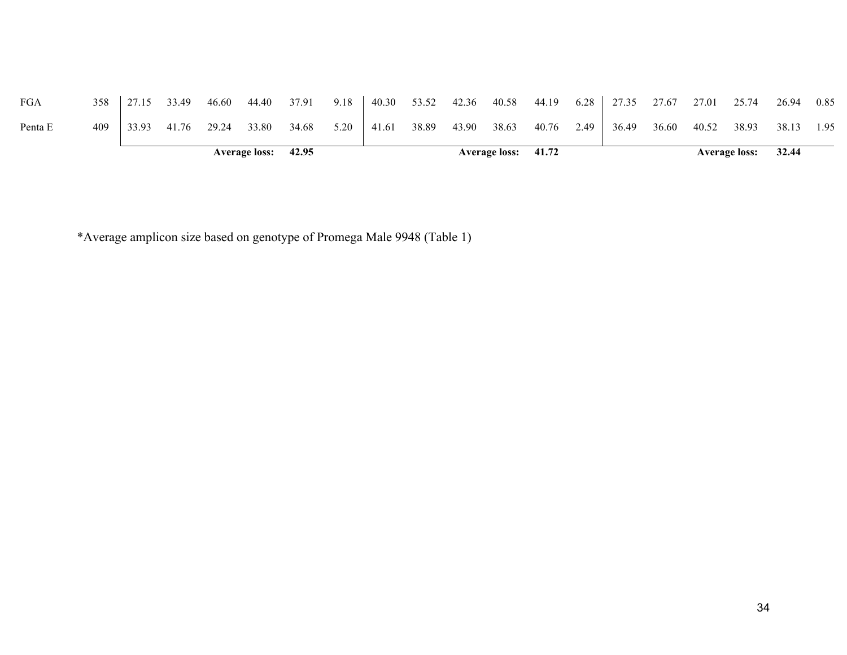|         |       |       |       |       | <b>Average loss:</b> | 42.95 |      |       |       |       | <b>Average loss:</b> | 41.72 |      |       |       |       | <b>Average loss:</b> | 32.44 |      |
|---------|-------|-------|-------|-------|----------------------|-------|------|-------|-------|-------|----------------------|-------|------|-------|-------|-------|----------------------|-------|------|
| Penta E | 409   | 33.93 | 41.76 | 29.24 | 33.80                | 34.68 | 5.20 | 41.61 | 38.89 | 43.90 | 38.63                | 40.76 | 2.49 | 36.49 | 36.60 | 40.52 | 38.93                | 38.13 | 1.95 |
| FGA     | $358$ | 27.15 | 33.49 | 46.60 | 44.40                | 37.91 | 9.18 | 40.30 | 53.52 | 42.36 | 40.58                | 44.19 | 6.28 | 27.35 | 27.67 | 27.01 | 25.74                | 26.94 | 0.85 |

\*Average amplicon size based on genotype of Promega Male 9948 (Table 1)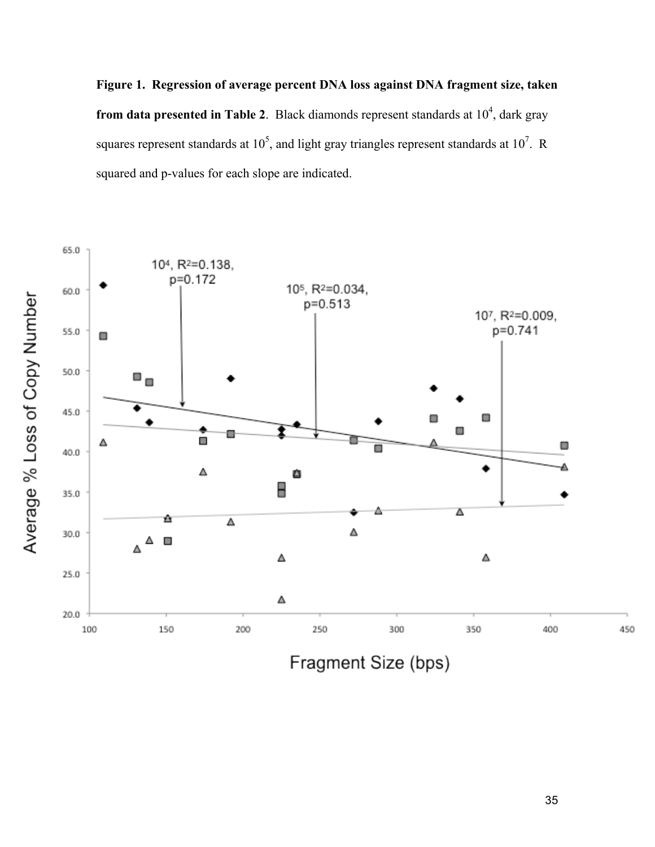**Figure 1. Regression of average percent DNA loss against DNA fragment size, taken from data presented in Table 2.** Black diamonds represent standards at  $10^4$ , dark gray squares represent standards at  $10^5$ , and light gray triangles represent standards at  $10^7$ . R squared and p-values for each slope are indicated.



Fragment Size (bps)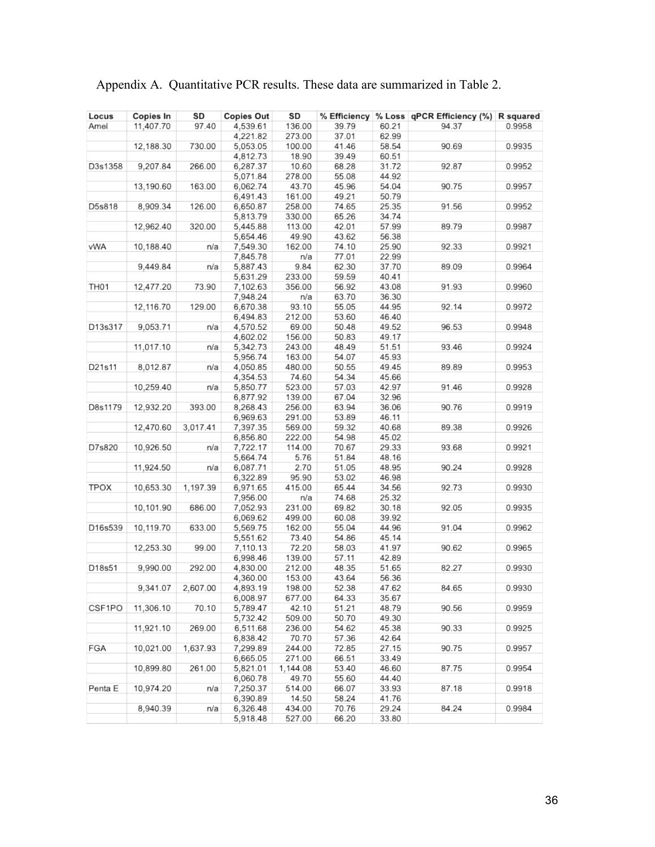| Locus            | Copies In | SD       | <b>Copies Out</b> | SD       |       |       | % Efficiency % Loss   qPCR Efficiency (%)   R squared |        |
|------------------|-----------|----------|-------------------|----------|-------|-------|-------------------------------------------------------|--------|
| Amel             | 11,407.70 | 97.40    | 4,539.61          | 136.00   | 39.79 | 60.21 | 94.37                                                 | 0.9958 |
|                  |           |          | 4,221.82          | 273.00   | 37.01 | 62.99 |                                                       |        |
|                  | 12,188.30 | 730.00   | 5,053.05          | 100.00   | 41.46 | 58.54 | 90.69                                                 | 0.9935 |
|                  |           |          | 4,812.73          | 18.90    | 39.49 | 60.51 |                                                       |        |
| D3s1358          | 9,207.84  | 266.00   | 6,287.37          | 10.60    | 68.28 | 31.72 | 92.87                                                 | 0.9952 |
|                  |           |          | 5,071.84          | 278.00   | 55.08 | 44.92 |                                                       |        |
|                  | 13,190.60 | 163.00   | 6,062.74          | 43.70    | 45.96 | 54.04 | 90.75                                                 | 0.9957 |
|                  |           |          | 6,491.43          | 161.00   | 49.21 | 50.79 |                                                       |        |
| D5s818           | 8,909.34  | 126.00   | 6,650.87          | 258.00   | 74.65 | 25.35 | 91.56                                                 | 0.9952 |
|                  |           |          | 5,813.79          | 330.00   | 65.26 | 34.74 |                                                       |        |
|                  | 12,962.40 | 320.00   | 5,445.88          | 113.00   | 42.01 | 57.99 | 89.79                                                 | 0.9987 |
|                  |           |          | 5,654.46          | 49.90    | 43.62 | 56.38 |                                                       |        |
| vWA              | 10,188.40 | n/a      | 7,549.30          | 162.00   | 74.10 | 25.90 | 92.33                                                 | 0.9921 |
|                  |           |          | 7,845.78          | n/a      | 77.01 | 22.99 |                                                       |        |
|                  | 9,449.84  | n/a      | 5,887.43          | 9.84     | 62.30 | 37.70 | 89.09                                                 | 0.9964 |
|                  |           |          | 5,631.29          | 233.00   | 59.59 | 40.41 |                                                       |        |
| TH <sub>01</sub> | 12,477.20 | 73.90    | 7,102.63          | 356.00   | 56.92 | 43.08 | 91.93                                                 | 0.9960 |
|                  |           |          | 7,948.24          | n/a      | 63.70 | 36.30 |                                                       |        |
|                  | 12,116.70 | 129.00   | 6,670.38          | 93.10    | 55.05 | 44.95 | 92.14                                                 | 0.9972 |
|                  |           |          |                   |          |       |       |                                                       |        |
|                  |           |          | 6,494.83          | 212.00   | 53.60 | 46.40 |                                                       |        |
| D13s317          | 9,053.71  | n/a      | 4,570.52          | 69.00    | 50.48 | 49.52 | 96.53                                                 | 0.9948 |
|                  |           |          | 4,602.02          | 156.00   | 50.83 | 49.17 |                                                       |        |
|                  | 11,017.10 | n/a      | 5,342.73          | 243.00   | 48.49 | 51.51 | 93.46                                                 | 0.9924 |
|                  |           |          | 5,956.74          | 163.00   | 54.07 | 45.93 |                                                       |        |
| D21s11           | 8,012.87  | n/a      | 4,050.85          | 480.00   | 50.55 | 49.45 | 89.89                                                 | 0.9953 |
|                  |           |          | 4,354.53          | 74.60    | 54.34 | 45.66 |                                                       |        |
|                  | 10,259.40 | n/a      | 5,850.77          | 523.00   | 57.03 | 42.97 | 91.46                                                 | 0.9928 |
|                  |           |          | 6,877.92          | 139.00   | 67.04 | 32.96 |                                                       |        |
| D8s1179          | 12,932.20 | 393.00   | 8,268.43          | 256.00   | 63.94 | 36.06 | 90.76                                                 | 0.9919 |
|                  |           |          | 6,969.63          | 291.00   | 53.89 | 46.11 |                                                       |        |
|                  | 12,470.60 | 3,017.41 | 7,397.35          | 569.00   | 59.32 | 40.68 | 89.38                                                 | 0.9926 |
|                  |           |          | 6,856.80          | 222.00   | 54.98 | 45.02 |                                                       |        |
| D7s820           | 10,926.50 | n/a      | 7,722.17          | 114.00   | 70.67 | 29.33 | 93.68                                                 | 0.9921 |
|                  |           |          | 5,664.74          | 5.76     | 51.84 | 48.16 |                                                       |        |
|                  | 11,924.50 | n/a      | 6,087.71          | 2.70     | 51.05 | 48.95 | 90.24                                                 | 0.9928 |
|                  |           |          | 6,322.89          | 95.90    | 53.02 | 46.98 |                                                       |        |
| TPOX             | 10,653.30 | 1,197.39 | 6,971.65          | 415.00   | 65.44 | 34.56 | 92.73                                                 | 0.9930 |
|                  |           |          | 7,956.00          | n/a      | 74.68 | 25.32 |                                                       |        |
|                  | 10,101.90 | 686.00   | 7,052.93          | 231.00   | 69.82 | 30.18 | 92.05                                                 | 0.9935 |
|                  |           |          | 6,069.62          | 499.00   | 60.08 | 39.92 |                                                       |        |
| D16s539          | 10,119.70 | 633.00   | 5,569.75          | 162.00   | 55.04 | 44.96 | 91.04                                                 | 0.9962 |
|                  |           |          | 5,551.62          | 73.40    | 54.86 | 45.14 |                                                       |        |
|                  | 12,253.30 | 99.00    | 7,110.13          | 72.20    | 58.03 | 41.97 | 90.62                                                 | 0.9965 |
|                  |           |          | 6,998.46          | 139.00   | 57.11 | 42.89 |                                                       |        |
| D18s51           | 9,990.00  | 292.00   | 4,830.00          | 212.00   | 48.35 | 51.65 | 82.27                                                 | 0.9930 |
|                  |           |          | 4,360.00          | 153.00   | 43.64 | 56.36 |                                                       |        |
|                  | 9,341.07  | 2,607.00 | 4,893.19          | 198.00   | 52.38 | 47.62 | 84.65                                                 | 0.9930 |
|                  |           |          | 6,008.97          | 677.00   | 64.33 | 35.67 |                                                       |        |
| CSF1PO           | 11,306.10 | 70.10    | 5,789.47          | 42.10    | 51.21 | 48.79 | 90.56                                                 | 0.9959 |
|                  |           |          | 5,732.42          | 509.00   | 50.70 | 49.30 |                                                       |        |
|                  | 11,921.10 | 269.00   | 6,511.68          | 236.00   | 54.62 | 45.38 | 90.33                                                 | 0.9925 |
|                  |           |          | 6,838.42          | 70.70    | 57.36 | 42.64 |                                                       |        |
| FGA              | 10,021.00 | 1,637.93 | 7,299.89          | 244.00   | 72.85 | 27.15 | 90.75                                                 | 0.9957 |
|                  |           |          | 6,665.05          | 271.00   | 66.51 | 33.49 |                                                       |        |
|                  | 10,899.80 | 261.00   | 5,821.01          | 1,144.08 | 53.40 | 46.60 | 87.75                                                 | 0.9954 |
|                  |           |          | 6,060.78          | 49.70    | 55.60 | 44.40 |                                                       |        |
| Penta E          | 10,974.20 | n/a      | 7,250.37          | 514.00   | 66.07 | 33.93 | 87.18                                                 | 0.9918 |
|                  |           |          | 6,390.89          | 14.50    | 58.24 | 41.76 |                                                       |        |
|                  | 8,940.39  | n/a      | 6,326.48          | 434.00   | 70.76 | 29.24 | 84.24                                                 | 0.9984 |
|                  |           |          | 5,918.48          | 527.00   | 66.20 | 33.80 |                                                       |        |
|                  |           |          |                   |          |       |       |                                                       |        |

Appendix A. Quantitative PCR results. These data are summarized in Table 2.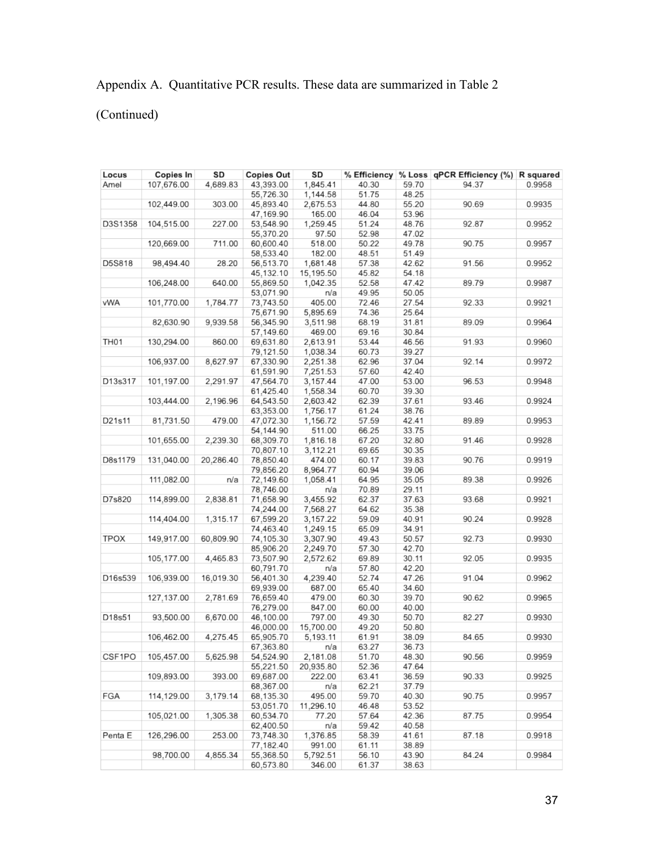# Appendix A. Quantitative PCR results. These data are summarized in Table 2

(Continued)

| Locus            | Copies In  | SD        | <b>Copies Out</b> | SD        |       |       | % Efficiency % Loss qPCR Efficiency (%) R squared |        |
|------------------|------------|-----------|-------------------|-----------|-------|-------|---------------------------------------------------|--------|
| Amel             | 107,676.00 | 4,689.83  | 43,393.00         | 1,845.41  | 40.30 | 59.70 | 94.37                                             | 0.9958 |
|                  |            |           | 55,726.30         | 1,144.58  | 51.75 | 48.25 |                                                   |        |
|                  | 102,449.00 | 303.00    | 45,893.40         | 2,675.53  | 44.80 | 55.20 | 90.69                                             | 0.9935 |
|                  |            |           | 47,169.90         | 165.00    | 46.04 | 53.96 |                                                   |        |
| D3S1358          | 104,515.00 | 227.00    | 53,548.90         | 1,259.45  | 51.24 | 48.76 | 92.87                                             | 0.9952 |
|                  |            |           | 55,370.20         | 97.50     | 52.98 | 47.02 |                                                   |        |
|                  | 120,669.00 | 711.00    | 60,600.40         | 518.00    | 50.22 | 49.78 | 90.75                                             | 0.9957 |
|                  |            |           | 58,533.40         | 182.00    | 48.51 | 51.49 |                                                   |        |
| D5S818           | 98,494.40  | 28.20     | 56,513.70         | 1,681.48  | 57.38 | 42.62 | 91.56                                             | 0.9952 |
|                  |            |           | 45,132.10         | 15,195.50 | 45.82 | 54.18 |                                                   |        |
|                  | 106,248.00 | 640.00    | 55,869.50         | 1,042.35  | 52.58 | 47.42 | 89.79                                             | 0.9987 |
|                  |            |           | 53,071.90         | n/a       | 49.95 | 50.05 |                                                   |        |
| vWA              | 101,770.00 | 1,784.77  | 73,743.50         | 405.00    | 72.46 | 27.54 | 92.33                                             | 0.9921 |
|                  |            |           | 75,671.90         |           |       |       |                                                   |        |
|                  |            |           |                   | 5,895.69  | 74.36 | 25.64 |                                                   | 0.9964 |
|                  | 82,630.90  | 9,939.58  | 56,345.90         | 3,511.98  | 68.19 | 31.81 | 89.09                                             |        |
|                  |            |           | 57,149.60         | 469.00    | 69.16 | 30.84 |                                                   |        |
| TH <sub>01</sub> | 130,294.00 | 860.00    | 69,631.80         | 2,613.91  | 53.44 | 46.56 | 91.93                                             | 0.9960 |
|                  |            |           | 79,121.50         | 1,038.34  | 60.73 | 39.27 |                                                   |        |
|                  | 106,937.00 | 8,627.97  | 67,330.90         | 2,251.38  | 62.96 | 37.04 | 92.14                                             | 0.9972 |
|                  |            |           | 61,591.90         | 7,251.53  | 57.60 | 42.40 |                                                   |        |
| D13s317          | 101,197.00 | 2,291.97  | 47,564.70         | 3,157.44  | 47.00 | 53.00 | 96.53                                             | 0.9948 |
|                  |            |           | 61,425.40         | 1,558.34  | 60.70 | 39.30 |                                                   |        |
|                  | 103,444.00 | 2,196.96  | 64,543.50         | 2,603.42  | 62.39 | 37.61 | 93.46                                             | 0.9924 |
|                  |            |           | 63,353.00         | 1,756.17  | 61.24 | 38.76 |                                                   |        |
| D21s11           | 81,731.50  | 479.00    | 47,072.30         | 1,156.72  | 57.59 | 42.41 | 89.89                                             | 0.9953 |
|                  |            |           | 54,144.90         | 511.00    | 66.25 | 33.75 |                                                   |        |
|                  | 101,655.00 | 2,239.30  | 68,309.70         | 1,816.18  | 67.20 | 32.80 | 91.46                                             | 0.9928 |
|                  |            |           | 70,807.10         | 3,112.21  | 69.65 | 30.35 |                                                   |        |
| D8s1179          | 131,040.00 | 20,286.40 | 78,850.40         | 474.00    | 60.17 | 39.83 | 90.76                                             | 0.9919 |
|                  |            |           | 79,856.20         | 8,964.77  | 60.94 | 39.06 |                                                   |        |
|                  | 111,082.00 | n/a       | 72,149.60         | 1,058.41  | 64.95 | 35.05 | 89.38                                             | 0.9926 |
|                  |            |           | 78,746.00         | n/a       | 70.89 | 29.11 |                                                   |        |
| D7s820           | 114,899.00 | 2,838.81  | 71,658.90         | 3,455.92  | 62.37 | 37.63 | 93.68                                             | 0.9921 |
|                  |            |           | 74,244.00         | 7,568.27  | 64.62 | 35.38 |                                                   |        |
|                  | 114,404.00 | 1,315.17  | 67,599.20         | 3,157.22  | 59.09 | 40.91 | 90.24                                             | 0.9928 |
|                  |            |           | 74,463.40         | 1,249.15  | 65.09 | 34.91 |                                                   |        |
| <b>TPOX</b>      | 149,917.00 | 60,809.90 | 74,105.30         | 3,307.90  | 49.43 | 50.57 | 92.73                                             | 0.9930 |
|                  |            |           | 85,906.20         | 2,249.70  | 57.30 | 42.70 |                                                   |        |
|                  |            |           |                   |           |       |       |                                                   |        |
|                  | 105,177.00 | 4,465.83  | 73,507.90         | 2,572.62  | 69.89 | 30.11 | 92.05                                             | 0.9935 |
|                  |            |           | 60,791.70         | n/a       | 57.80 | 42.20 |                                                   |        |
| D16s539          | 106,939.00 | 16,019.30 | 56,401.30         | 4,239.40  | 52.74 | 47.26 | 91.04                                             | 0.9962 |
|                  |            |           | 69,939.00         | 687.00    | 65.40 | 34.60 |                                                   |        |
|                  | 127,137.00 | 2,781.69  | 76,659.40         | 479.00    | 60.30 | 39.70 | 90.62                                             | 0.9965 |
|                  |            |           | 76,279.00         | 847.00    | 60.00 | 40.00 |                                                   |        |
| D18s51           | 93,500.00  | 6,670.00  | 46,100.00         | 797.00    | 49.30 | 50.70 | 82.27                                             | 0.9930 |
|                  |            |           | 46,000.00         | 15,700.00 | 49.20 | 50.80 |                                                   |        |
|                  | 106,462.00 | 4,275.45  | 65,905.70         | 5,193.11  | 61.91 | 38.09 | 84.65                                             | 0.9930 |
|                  |            |           | 67,363.80         | n/a       | 63.27 | 36.73 |                                                   |        |
| CSF1PO           | 105,457.00 | 5,625.98  | 54,524.90         | 2,181.08  | 51.70 | 48.30 | 90.56                                             | 0.9959 |
|                  |            |           | 55,221.50         | 20,935.80 | 52.36 | 47.64 |                                                   |        |
|                  | 109,893.00 | 393.00    | 69,687.00         | 222.00    | 63.41 | 36.59 | 90.33                                             | 0.9925 |
|                  |            |           | 68,367.00         | n/a       | 62.21 | 37.79 |                                                   |        |
| FGA              | 114,129.00 | 3,179.14  | 68,135.30         | 495.00    | 59.70 | 40.30 | 90.75                                             | 0.9957 |
|                  |            |           | 53,051.70         | 11,296.10 | 46.48 | 53.52 |                                                   |        |
|                  | 105,021.00 | 1,305.38  | 60,534.70         | 77.20     | 57.64 | 42.36 | 87.75                                             | 0.9954 |
|                  |            |           | 62,400.50         | n/a       | 59.42 | 40.58 |                                                   |        |
| Penta E          | 126,296.00 | 253.00    | 73,748.30         | 1,376.85  | 58.39 | 41.61 | 87.18                                             | 0.9918 |
|                  |            |           | 77,182.40         | 991.00    | 61.11 | 38.89 |                                                   |        |
|                  | 98,700.00  | 4,855.34  | 55,368.50         | 5,792.51  | 56.10 | 43.90 | 84.24                                             | 0.9984 |
|                  |            |           | 60,573.80         | 346.00    | 61.37 | 38.63 |                                                   |        |
|                  |            |           |                   |           |       |       |                                                   |        |